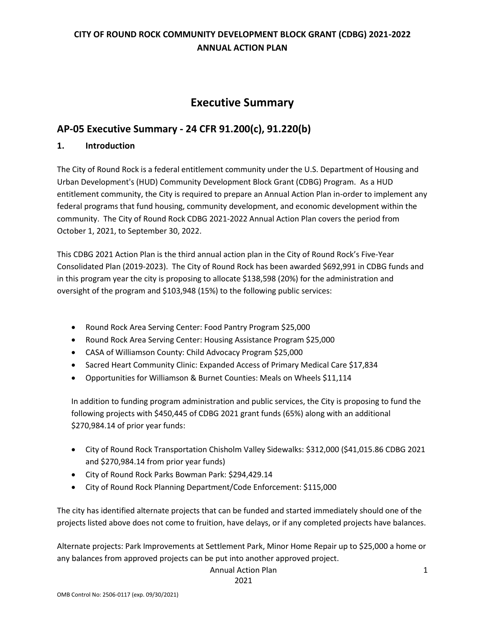# **Executive Summary**

# **AP-05 Executive Summary - 24 CFR 91.200(c), 91.220(b)**

#### **1. Introduction**

The City of Round Rock is a federal entitlement community under the U.S. Department of Housing and Urban Development's (HUD) Community Development Block Grant (CDBG) Program. As a HUD entitlement community, the City is required to prepare an Annual Action Plan in-order to implement any federal programs that fund housing, community development, and economic development within the community. The City of Round Rock CDBG 2021-2022 Annual Action Plan covers the period from October 1, 2021, to September 30, 2022.

This CDBG 2021 Action Plan is the third annual action plan in the City of Round Rock's Five-Year Consolidated Plan (2019-2023). The City of Round Rock has been awarded \$692,991 in CDBG funds and in this program year the city is proposing to allocate \$138,598 (20%) for the administration and oversight of the program and \$103,948 (15%) to the following public services:

- Round Rock Area Serving Center: Food Pantry Program \$25,000
- Round Rock Area Serving Center: Housing Assistance Program \$25,000
- CASA of Williamson County: Child Advocacy Program \$25,000
- Sacred Heart Community Clinic: Expanded Access of Primary Medical Care \$17,834
- Opportunities for Williamson & Burnet Counties: Meals on Wheels \$11,114

In addition to funding program administration and public services, the City is proposing to fund the following projects with \$450,445 of CDBG 2021 grant funds (65%) along with an additional \$270,984.14 of prior year funds:

- City of Round Rock Transportation Chisholm Valley Sidewalks: \$312,000 (\$41,015.86 CDBG 2021 and \$270,984.14 from prior year funds)
- City of Round Rock Parks Bowman Park: \$294,429.14
- City of Round Rock Planning Department/Code Enforcement: \$115,000

The city has identified alternate projects that can be funded and started immediately should one of the projects listed above does not come to fruition, have delays, or if any completed projects have balances.

Alternate projects: Park Improvements at Settlement Park, Minor Home Repair up to \$25,000 a home or any balances from approved projects can be put into another approved project.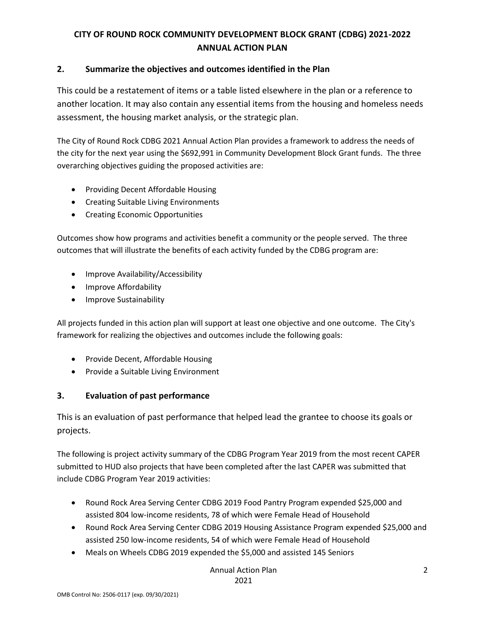### **2. Summarize the objectives and outcomes identified in the Plan**

This could be a restatement of items or a table listed elsewhere in the plan or a reference to another location. It may also contain any essential items from the housing and homeless needs assessment, the housing market analysis, or the strategic plan.

The City of Round Rock CDBG 2021 Annual Action Plan provides a framework to address the needs of the city for the next year using the \$692,991 in Community Development Block Grant funds. The three overarching objectives guiding the proposed activities are:

- Providing Decent Affordable Housing
- Creating Suitable Living Environments
- Creating Economic Opportunities

Outcomes show how programs and activities benefit a community or the people served. The three outcomes that will illustrate the benefits of each activity funded by the CDBG program are:

- Improve Availability/Accessibility
- Improve Affordability
- Improve Sustainability

All projects funded in this action plan will support at least one objective and one outcome. The City's framework for realizing the objectives and outcomes include the following goals:

- Provide Decent, Affordable Housing
- Provide a Suitable Living Environment

#### **3. Evaluation of past performance**

This is an evaluation of past performance that helped lead the grantee to choose its goals or projects.

The following is project activity summary of the CDBG Program Year 2019 from the most recent CAPER submitted to HUD also projects that have been completed after the last CAPER was submitted that include CDBG Program Year 2019 activities:

- Round Rock Area Serving Center CDBG 2019 Food Pantry Program expended \$25,000 and assisted 804 low-income residents, 78 of which were Female Head of Household
- Round Rock Area Serving Center CDBG 2019 Housing Assistance Program expended \$25,000 and assisted 250 low-income residents, 54 of which were Female Head of Household
- Meals on Wheels CDBG 2019 expended the \$5,000 and assisted 145 Seniors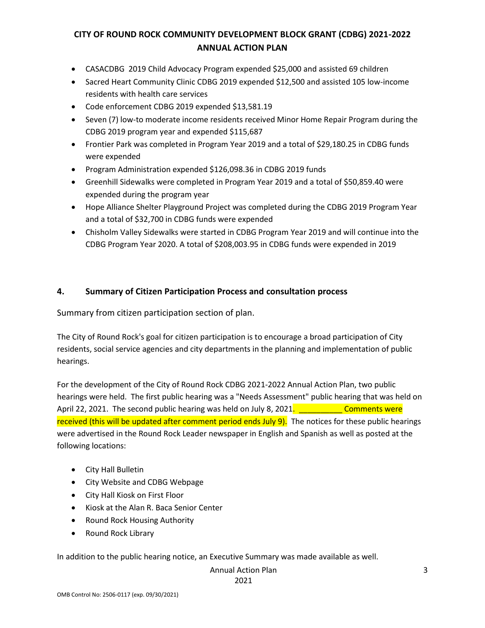- CASACDBG 2019 Child Advocacy Program expended \$25,000 and assisted 69 children
- Sacred Heart Community Clinic CDBG 2019 expended \$12,500 and assisted 105 low-income residents with health care services
- Code enforcement CDBG 2019 expended \$13,581.19
- Seven (7) low-to moderate income residents received Minor Home Repair Program during the CDBG 2019 program year and expended \$115,687
- Frontier Park was completed in Program Year 2019 and a total of \$29,180.25 in CDBG funds were expended
- Program Administration expended \$126,098.36 in CDBG 2019 funds
- Greenhill Sidewalks were completed in Program Year 2019 and a total of \$50,859.40 were expended during the program year
- Hope Alliance Shelter Playground Project was completed during the CDBG 2019 Program Year and a total of \$32,700 in CDBG funds were expended
- Chisholm Valley Sidewalks were started in CDBG Program Year 2019 and will continue into the CDBG Program Year 2020. A total of \$208,003.95 in CDBG funds were expended in 2019

#### **4. Summary of Citizen Participation Process and consultation process**

Summary from citizen participation section of plan.

The City of Round Rock's goal for citizen participation is to encourage a broad participation of City residents, social service agencies and city departments in the planning and implementation of public hearings.

For the development of the City of Round Rock CDBG 2021-2022 Annual Action Plan, two public hearings were held. The first public hearing was a "Needs Assessment" public hearing that was held on April 22, 2021. The second public hearing was held on July 8, 2021. **Comments were** received (this will be updated after comment period ends July 9). The notices for these public hearings were advertised in the Round Rock Leader newspaper in English and Spanish as well as posted at the following locations:

- City Hall Bulletin
- City Website and CDBG Webpage
- City Hall Kiosk on First Floor
- Kiosk at the Alan R. Baca Senior Center
- Round Rock Housing Authority
- Round Rock Library

In addition to the public hearing notice, an Executive Summary was made available as well.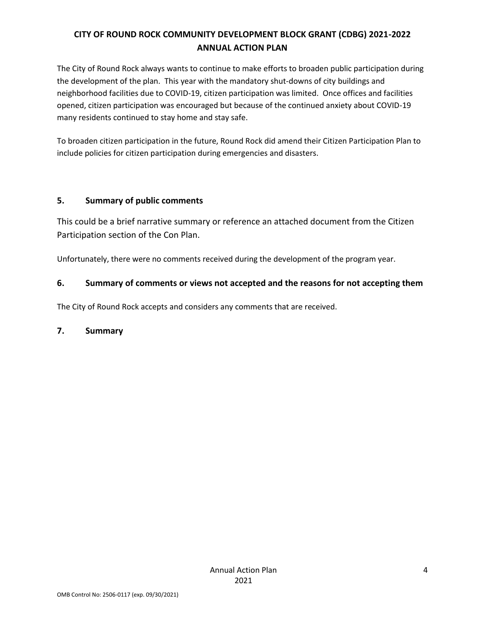The City of Round Rock always wants to continue to make efforts to broaden public participation during the development of the plan. This year with the mandatory shut-downs of city buildings and neighborhood facilities due to COVID-19, citizen participation was limited. Once offices and facilities opened, citizen participation was encouraged but because of the continued anxiety about COVID-19 many residents continued to stay home and stay safe.

To broaden citizen participation in the future, Round Rock did amend their Citizen Participation Plan to include policies for citizen participation during emergencies and disasters.

### **5. Summary of public comments**

This could be a brief narrative summary or reference an attached document from the Citizen Participation section of the Con Plan.

Unfortunately, there were no comments received during the development of the program year.

# **6. Summary of comments or views not accepted and the reasons for not accepting them**

The City of Round Rock accepts and considers any comments that are received.

### **7. Summary**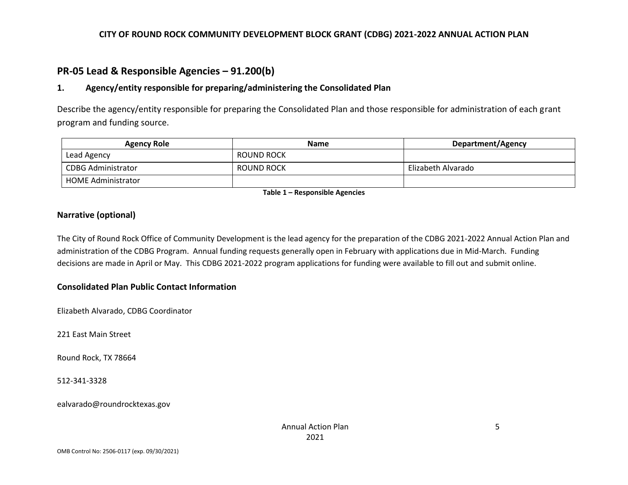# **PR-05 Lead & Responsible Agencies – 91.200(b)**

#### **1. Agency/entity responsible for preparing/administering the Consolidated Plan**

Describe the agency/entity responsible for preparing the Consolidated Plan and those responsible for administration of each grant program and funding source.

| <b>Agency Role</b>        | <b>Name</b> | Department/Agency  |
|---------------------------|-------------|--------------------|
| Lead Agency               | ROUND ROCK  |                    |
| CDBG Administrator        | ROUND ROCK  | Elizabeth Alvarado |
| <b>HOME Administrator</b> |             |                    |

**Table 1 – Responsible Agencies**

#### **Narrative (optional)**

The City of Round Rock Office of Community Development is the lead agency for the preparation of the CDBG 2021-2022 Annual Action Plan and administration of the CDBG Program. Annual funding requests generally open in February with applications due in Mid-March. Funding decisions are made in April or May. This CDBG 2021-2022 program applications for funding were available to fill out and submit online.

#### **Consolidated Plan Public Contact Information**

Elizabeth Alvarado, CDBG Coordinator

221 East Main Street

Round Rock, TX 78664

512-341-3328

ealvarado@roundrocktexas.gov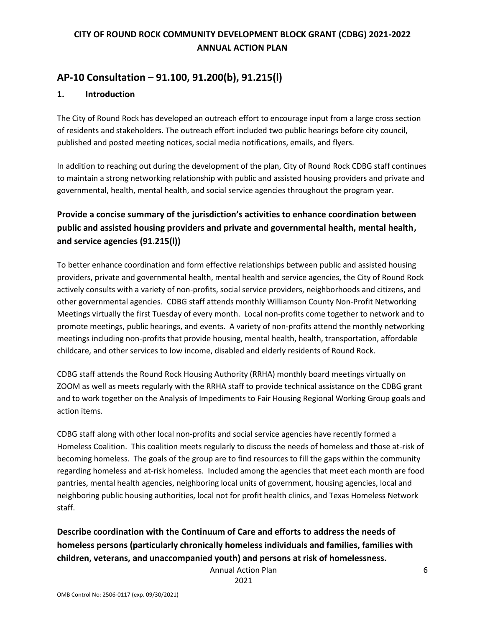# **AP-10 Consultation – 91.100, 91.200(b), 91.215(l)**

### **1. Introduction**

The City of Round Rock has developed an outreach effort to encourage input from a large cross section of residents and stakeholders. The outreach effort included two public hearings before city council, published and posted meeting notices, social media notifications, emails, and flyers.

In addition to reaching out during the development of the plan, City of Round Rock CDBG staff continues to maintain a strong networking relationship with public and assisted housing providers and private and governmental, health, mental health, and social service agencies throughout the program year.

# **Provide a concise summary of the jurisdiction's activities to enhance coordination between public and assisted housing providers and private and governmental health, mental health, and service agencies (91.215(l))**

To better enhance coordination and form effective relationships between public and assisted housing providers, private and governmental health, mental health and service agencies, the City of Round Rock actively consults with a variety of non-profits, social service providers, neighborhoods and citizens, and other governmental agencies. CDBG staff attends monthly Williamson County Non-Profit Networking Meetings virtually the first Tuesday of every month. Local non-profits come together to network and to promote meetings, public hearings, and events. A variety of non-profits attend the monthly networking meetings including non-profits that provide housing, mental health, health, transportation, affordable childcare, and other services to low income, disabled and elderly residents of Round Rock.

CDBG staff attends the Round Rock Housing Authority (RRHA) monthly board meetings virtually on ZOOM as well as meets regularly with the RRHA staff to provide technical assistance on the CDBG grant and to work together on the Analysis of Impediments to Fair Housing Regional Working Group goals and action items.

CDBG staff along with other local non-profits and social service agencies have recently formed a Homeless Coalition. This coalition meets regularly to discuss the needs of homeless and those at-risk of becoming homeless. The goals of the group are to find resources to fill the gaps within the community regarding homeless and at-risk homeless. Included among the agencies that meet each month are food pantries, mental health agencies, neighboring local units of government, housing agencies, local and neighboring public housing authorities, local not for profit health clinics, and Texas Homeless Network staff.

# **Describe coordination with the Continuum of Care and efforts to address the needs of homeless persons (particularly chronically homeless individuals and families, families with children, veterans, and unaccompanied youth) and persons at risk of homelessness.**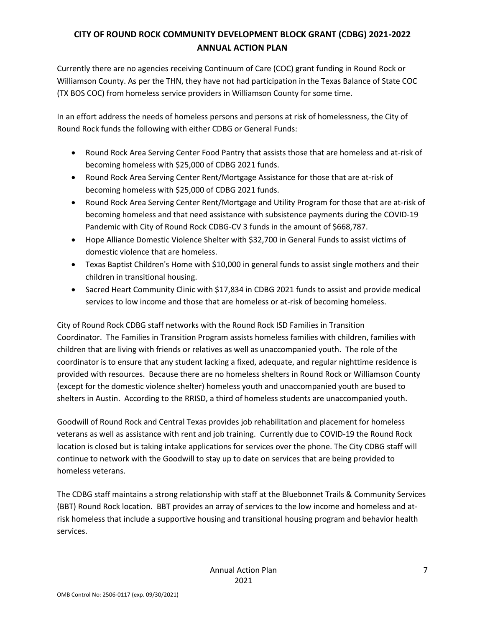Currently there are no agencies receiving Continuum of Care (COC) grant funding in Round Rock or Williamson County. As per the THN, they have not had participation in the Texas Balance of State COC (TX BOS COC) from homeless service providers in Williamson County for some time.

In an effort address the needs of homeless persons and persons at risk of homelessness, the City of Round Rock funds the following with either CDBG or General Funds:

- Round Rock Area Serving Center Food Pantry that assists those that are homeless and at-risk of becoming homeless with \$25,000 of CDBG 2021 funds.
- Round Rock Area Serving Center Rent/Mortgage Assistance for those that are at-risk of becoming homeless with \$25,000 of CDBG 2021 funds.
- Round Rock Area Serving Center Rent/Mortgage and Utility Program for those that are at-risk of becoming homeless and that need assistance with subsistence payments during the COVID-19 Pandemic with City of Round Rock CDBG-CV 3 funds in the amount of \$668,787.
- Hope Alliance Domestic Violence Shelter with \$32,700 in General Funds to assist victims of domestic violence that are homeless.
- Texas Baptist Children's Home with \$10,000 in general funds to assist single mothers and their children in transitional housing.
- Sacred Heart Community Clinic with \$17,834 in CDBG 2021 funds to assist and provide medical services to low income and those that are homeless or at-risk of becoming homeless.

City of Round Rock CDBG staff networks with the Round Rock ISD Families in Transition Coordinator. The Families in Transition Program assists homeless families with children, families with children that are living with friends or relatives as well as unaccompanied youth. The role of the coordinator is to ensure that any student lacking a fixed, adequate, and regular nighttime residence is provided with resources. Because there are no homeless shelters in Round Rock or Williamson County (except for the domestic violence shelter) homeless youth and unaccompanied youth are bused to shelters in Austin. According to the RRISD, a third of homeless students are unaccompanied youth.

Goodwill of Round Rock and Central Texas provides job rehabilitation and placement for homeless veterans as well as assistance with rent and job training. Currently due to COVID-19 the Round Rock location is closed but is taking intake applications for services over the phone. The City CDBG staff will continue to network with the Goodwill to stay up to date on services that are being provided to homeless veterans.

The CDBG staff maintains a strong relationship with staff at the Bluebonnet Trails & Community Services (BBT) Round Rock location. BBT provides an array of services to the low income and homeless and atrisk homeless that include a supportive housing and transitional housing program and behavior health services.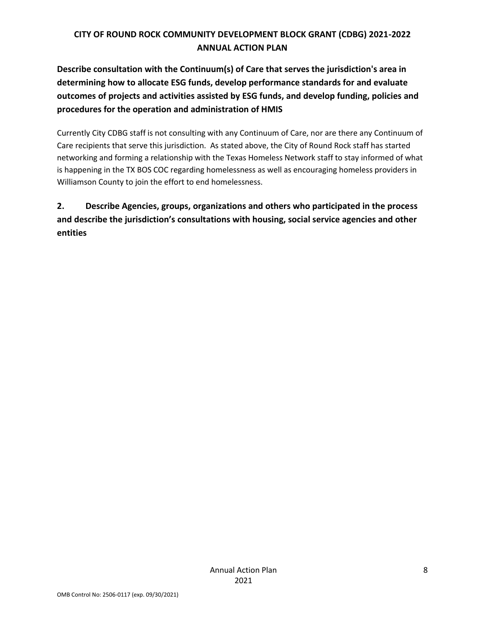**Describe consultation with the Continuum(s) of Care that serves the jurisdiction's area in determining how to allocate ESG funds, develop performance standards for and evaluate outcomes of projects and activities assisted by ESG funds, and develop funding, policies and procedures for the operation and administration of HMIS**

Currently City CDBG staff is not consulting with any Continuum of Care, nor are there any Continuum of Care recipients that serve this jurisdiction. As stated above, the City of Round Rock staff has started networking and forming a relationship with the Texas Homeless Network staff to stay informed of what is happening in the TX BOS COC regarding homelessness as well as encouraging homeless providers in Williamson County to join the effort to end homelessness.

**2. Describe Agencies, groups, organizations and others who participated in the process and describe the jurisdiction's consultations with housing, social service agencies and other entities**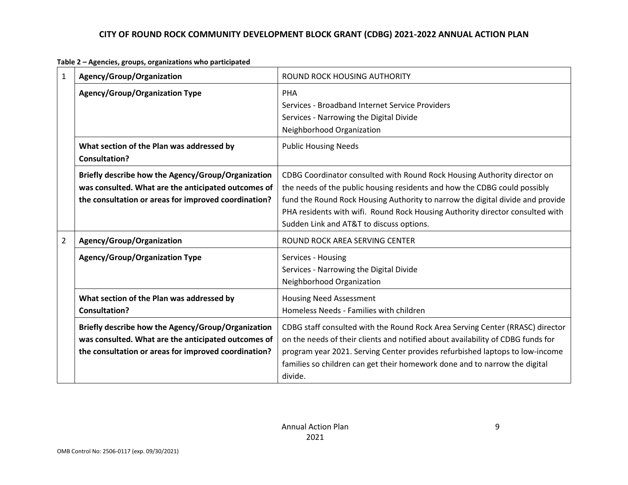| 1              | Agency/Group/Organization                                                                                                                                         | ROUND ROCK HOUSING AUTHORITY                                                                                                                                                                                                                                                                                                                                         |
|----------------|-------------------------------------------------------------------------------------------------------------------------------------------------------------------|----------------------------------------------------------------------------------------------------------------------------------------------------------------------------------------------------------------------------------------------------------------------------------------------------------------------------------------------------------------------|
|                | <b>Agency/Group/Organization Type</b>                                                                                                                             | <b>PHA</b><br>Services - Broadband Internet Service Providers<br>Services - Narrowing the Digital Divide<br>Neighborhood Organization                                                                                                                                                                                                                                |
|                | What section of the Plan was addressed by<br><b>Consultation?</b>                                                                                                 | <b>Public Housing Needs</b>                                                                                                                                                                                                                                                                                                                                          |
|                | Briefly describe how the Agency/Group/Organization<br>was consulted. What are the anticipated outcomes of<br>the consultation or areas for improved coordination? | CDBG Coordinator consulted with Round Rock Housing Authority director on<br>the needs of the public housing residents and how the CDBG could possibly<br>fund the Round Rock Housing Authority to narrow the digital divide and provide<br>PHA residents with wifi. Round Rock Housing Authority director consulted with<br>Sudden Link and AT&T to discuss options. |
| $\overline{2}$ | Agency/Group/Organization                                                                                                                                         | ROUND ROCK AREA SERVING CENTER                                                                                                                                                                                                                                                                                                                                       |
|                | <b>Agency/Group/Organization Type</b>                                                                                                                             | Services - Housing<br>Services - Narrowing the Digital Divide<br>Neighborhood Organization                                                                                                                                                                                                                                                                           |
|                | What section of the Plan was addressed by<br><b>Consultation?</b>                                                                                                 | <b>Housing Need Assessment</b><br>Homeless Needs - Families with children                                                                                                                                                                                                                                                                                            |
|                | Briefly describe how the Agency/Group/Organization<br>was consulted. What are the anticipated outcomes of<br>the consultation or areas for improved coordination? | CDBG staff consulted with the Round Rock Area Serving Center (RRASC) director<br>on the needs of their clients and notified about availability of CDBG funds for<br>program year 2021. Serving Center provides refurbished laptops to low-income<br>families so children can get their homework done and to narrow the digital<br>divide.                            |

**Table 2 – Agencies, groups, organizations who participated**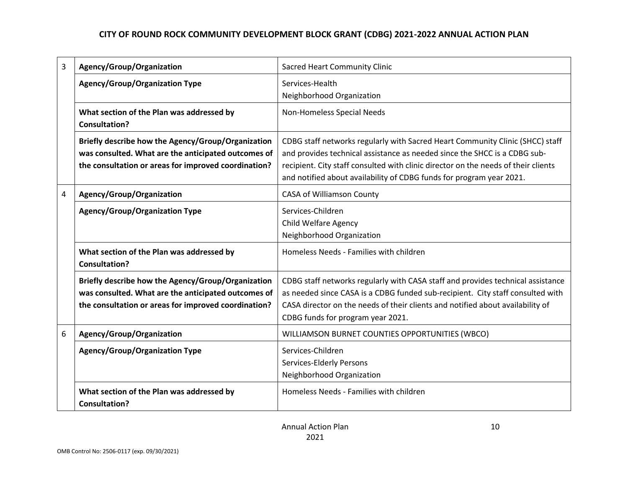| 3 | Agency/Group/Organization                                         | <b>Sacred Heart Community Clinic</b>                                               |
|---|-------------------------------------------------------------------|------------------------------------------------------------------------------------|
|   | <b>Agency/Group/Organization Type</b>                             | Services-Health                                                                    |
|   |                                                                   | Neighborhood Organization                                                          |
|   | What section of the Plan was addressed by                         | Non-Homeless Special Needs                                                         |
|   | <b>Consultation?</b>                                              |                                                                                    |
|   | Briefly describe how the Agency/Group/Organization                | CDBG staff networks regularly with Sacred Heart Community Clinic (SHCC) staff      |
|   | was consulted. What are the anticipated outcomes of               | and provides technical assistance as needed since the SHCC is a CDBG sub-          |
|   | the consultation or areas for improved coordination?              | recipient. City staff consulted with clinic director on the needs of their clients |
|   |                                                                   | and notified about availability of CDBG funds for program year 2021.               |
| 4 | Agency/Group/Organization                                         | <b>CASA of Williamson County</b>                                                   |
|   | <b>Agency/Group/Organization Type</b>                             | Services-Children                                                                  |
|   |                                                                   | <b>Child Welfare Agency</b>                                                        |
|   |                                                                   | Neighborhood Organization                                                          |
|   | What section of the Plan was addressed by<br><b>Consultation?</b> | Homeless Needs - Families with children                                            |
|   | Briefly describe how the Agency/Group/Organization                | CDBG staff networks regularly with CASA staff and provides technical assistance    |
|   | was consulted. What are the anticipated outcomes of               | as needed since CASA is a CDBG funded sub-recipient. City staff consulted with     |
|   | the consultation or areas for improved coordination?              | CASA director on the needs of their clients and notified about availability of     |
|   |                                                                   | CDBG funds for program year 2021.                                                  |
|   |                                                                   |                                                                                    |
| 6 | Agency/Group/Organization                                         | WILLIAMSON BURNET COUNTIES OPPORTUNITIES (WBCO)                                    |
|   | <b>Agency/Group/Organization Type</b>                             | Services-Children                                                                  |
|   |                                                                   | Services-Elderly Persons                                                           |
|   |                                                                   | Neighborhood Organization                                                          |
|   | What section of the Plan was addressed by<br><b>Consultation?</b> | Homeless Needs - Families with children                                            |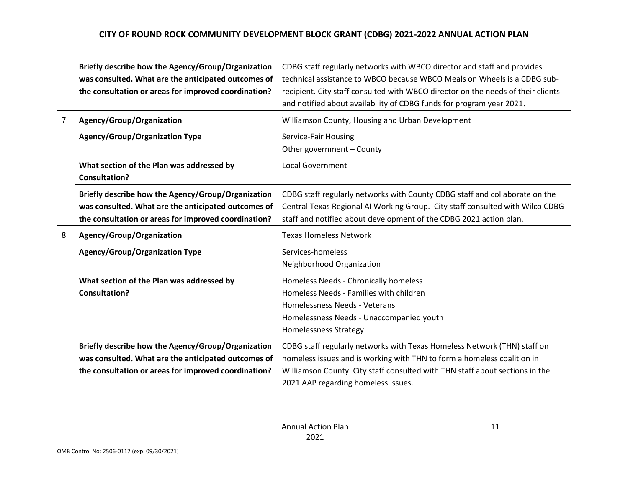|                | Briefly describe how the Agency/Group/Organization<br>was consulted. What are the anticipated outcomes of<br>the consultation or areas for improved coordination? | CDBG staff regularly networks with WBCO director and staff and provides<br>technical assistance to WBCO because WBCO Meals on Wheels is a CDBG sub-<br>recipient. City staff consulted with WBCO director on the needs of their clients<br>and notified about availability of CDBG funds for program year 2021. |
|----------------|-------------------------------------------------------------------------------------------------------------------------------------------------------------------|-----------------------------------------------------------------------------------------------------------------------------------------------------------------------------------------------------------------------------------------------------------------------------------------------------------------|
| $\overline{7}$ | Agency/Group/Organization                                                                                                                                         | Williamson County, Housing and Urban Development                                                                                                                                                                                                                                                                |
|                | <b>Agency/Group/Organization Type</b>                                                                                                                             | Service-Fair Housing<br>Other government - County                                                                                                                                                                                                                                                               |
|                | What section of the Plan was addressed by<br><b>Consultation?</b>                                                                                                 | <b>Local Government</b>                                                                                                                                                                                                                                                                                         |
|                | Briefly describe how the Agency/Group/Organization<br>was consulted. What are the anticipated outcomes of<br>the consultation or areas for improved coordination? | CDBG staff regularly networks with County CDBG staff and collaborate on the<br>Central Texas Regional AI Working Group. City staff consulted with Wilco CDBG<br>staff and notified about development of the CDBG 2021 action plan.                                                                              |
| 8              | Agency/Group/Organization                                                                                                                                         | <b>Texas Homeless Network</b>                                                                                                                                                                                                                                                                                   |
|                | <b>Agency/Group/Organization Type</b>                                                                                                                             | Services-homeless<br>Neighborhood Organization                                                                                                                                                                                                                                                                  |
|                | What section of the Plan was addressed by<br><b>Consultation?</b>                                                                                                 | Homeless Needs - Chronically homeless<br>Homeless Needs - Families with children<br>Homelessness Needs - Veterans<br>Homelessness Needs - Unaccompanied youth<br><b>Homelessness Strategy</b>                                                                                                                   |
|                | Briefly describe how the Agency/Group/Organization<br>was consulted. What are the anticipated outcomes of<br>the consultation or areas for improved coordination? | CDBG staff regularly networks with Texas Homeless Network (THN) staff on<br>homeless issues and is working with THN to form a homeless coalition in<br>Williamson County. City staff consulted with THN staff about sections in the<br>2021 AAP regarding homeless issues.                                      |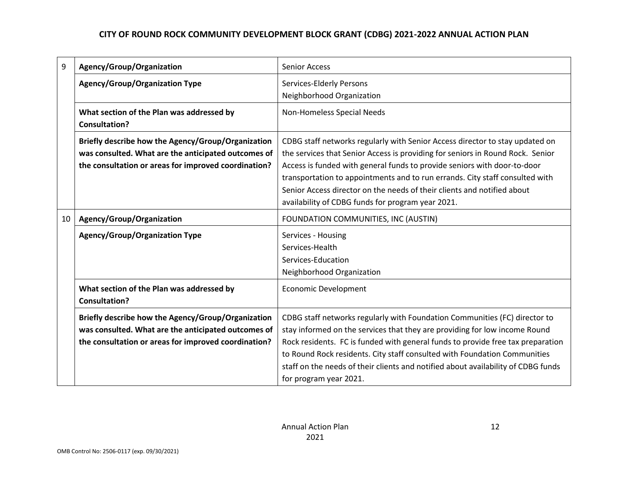| 9  | Agency/Group/Organization                                                                                                                                         | <b>Senior Access</b>                                                                                                                                                                                                                                                                                                                                                                                                                                       |
|----|-------------------------------------------------------------------------------------------------------------------------------------------------------------------|------------------------------------------------------------------------------------------------------------------------------------------------------------------------------------------------------------------------------------------------------------------------------------------------------------------------------------------------------------------------------------------------------------------------------------------------------------|
|    | <b>Agency/Group/Organization Type</b>                                                                                                                             | Services-Elderly Persons<br>Neighborhood Organization                                                                                                                                                                                                                                                                                                                                                                                                      |
|    | What section of the Plan was addressed by<br><b>Consultation?</b>                                                                                                 | Non-Homeless Special Needs                                                                                                                                                                                                                                                                                                                                                                                                                                 |
|    | Briefly describe how the Agency/Group/Organization<br>was consulted. What are the anticipated outcomes of<br>the consultation or areas for improved coordination? | CDBG staff networks regularly with Senior Access director to stay updated on<br>the services that Senior Access is providing for seniors in Round Rock. Senior<br>Access is funded with general funds to provide seniors with door-to-door<br>transportation to appointments and to run errands. City staff consulted with<br>Senior Access director on the needs of their clients and notified about<br>availability of CDBG funds for program year 2021. |
| 10 | Agency/Group/Organization                                                                                                                                         | FOUNDATION COMMUNITIES, INC (AUSTIN)                                                                                                                                                                                                                                                                                                                                                                                                                       |
|    | <b>Agency/Group/Organization Type</b>                                                                                                                             | Services - Housing<br>Services-Health<br>Services-Education<br>Neighborhood Organization                                                                                                                                                                                                                                                                                                                                                                   |
|    | What section of the Plan was addressed by<br>Consultation?                                                                                                        | <b>Economic Development</b>                                                                                                                                                                                                                                                                                                                                                                                                                                |
|    | Briefly describe how the Agency/Group/Organization<br>was consulted. What are the anticipated outcomes of<br>the consultation or areas for improved coordination? | CDBG staff networks regularly with Foundation Communities (FC) director to<br>stay informed on the services that they are providing for low income Round<br>Rock residents. FC is funded with general funds to provide free tax preparation<br>to Round Rock residents. City staff consulted with Foundation Communities<br>staff on the needs of their clients and notified about availability of CDBG funds<br>for program year 2021.                    |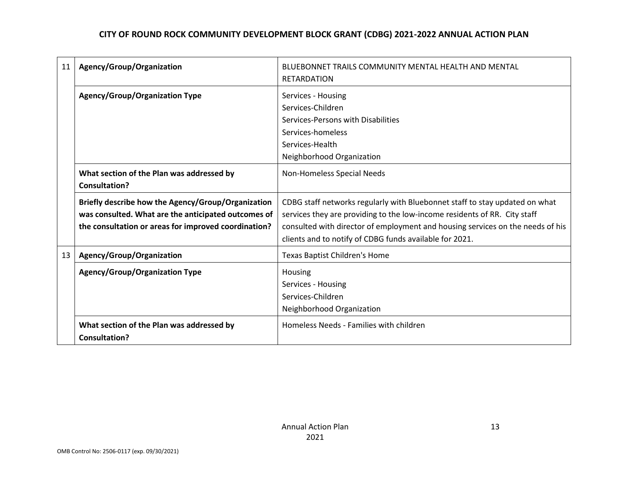| 11 | Agency/Group/Organization                            | BLUEBONNET TRAILS COMMUNITY MENTAL HEALTH AND MENTAL                           |
|----|------------------------------------------------------|--------------------------------------------------------------------------------|
|    |                                                      | <b>RETARDATION</b>                                                             |
|    | <b>Agency/Group/Organization Type</b>                | Services - Housing                                                             |
|    |                                                      | Services-Children                                                              |
|    |                                                      | Services-Persons with Disabilities                                             |
|    |                                                      | Services-homeless                                                              |
|    |                                                      | Services-Health                                                                |
|    |                                                      | Neighborhood Organization                                                      |
|    | What section of the Plan was addressed by            | Non-Homeless Special Needs                                                     |
|    | <b>Consultation?</b>                                 |                                                                                |
|    | Briefly describe how the Agency/Group/Organization   | CDBG staff networks regularly with Bluebonnet staff to stay updated on what    |
|    | was consulted. What are the anticipated outcomes of  | services they are providing to the low-income residents of RR. City staff      |
|    | the consultation or areas for improved coordination? | consulted with director of employment and housing services on the needs of his |
|    |                                                      | clients and to notify of CDBG funds available for 2021.                        |
| 13 | Agency/Group/Organization                            | Texas Baptist Children's Home                                                  |
|    | <b>Agency/Group/Organization Type</b>                | Housing                                                                        |
|    |                                                      | Services - Housing                                                             |
|    |                                                      | Services-Children                                                              |
|    |                                                      | Neighborhood Organization                                                      |
|    | What section of the Plan was addressed by            | Homeless Needs - Families with children                                        |
|    | <b>Consultation?</b>                                 |                                                                                |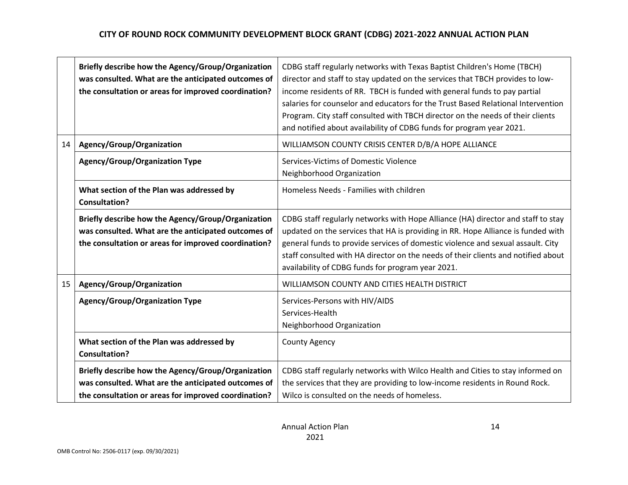|    | Briefly describe how the Agency/Group/Organization<br>was consulted. What are the anticipated outcomes of<br>the consultation or areas for improved coordination? | CDBG staff regularly networks with Texas Baptist Children's Home (TBCH)<br>director and staff to stay updated on the services that TBCH provides to low-<br>income residents of RR. TBCH is funded with general funds to pay partial<br>salaries for counselor and educators for the Trust Based Relational Intervention<br>Program. City staff consulted with TBCH director on the needs of their clients<br>and notified about availability of CDBG funds for program year 2021. |
|----|-------------------------------------------------------------------------------------------------------------------------------------------------------------------|------------------------------------------------------------------------------------------------------------------------------------------------------------------------------------------------------------------------------------------------------------------------------------------------------------------------------------------------------------------------------------------------------------------------------------------------------------------------------------|
| 14 | Agency/Group/Organization                                                                                                                                         | WILLIAMSON COUNTY CRISIS CENTER D/B/A HOPE ALLIANCE                                                                                                                                                                                                                                                                                                                                                                                                                                |
|    | <b>Agency/Group/Organization Type</b>                                                                                                                             | Services-Victims of Domestic Violence<br>Neighborhood Organization                                                                                                                                                                                                                                                                                                                                                                                                                 |
|    | What section of the Plan was addressed by<br><b>Consultation?</b>                                                                                                 | Homeless Needs - Families with children                                                                                                                                                                                                                                                                                                                                                                                                                                            |
|    | Briefly describe how the Agency/Group/Organization<br>was consulted. What are the anticipated outcomes of<br>the consultation or areas for improved coordination? | CDBG staff regularly networks with Hope Alliance (HA) director and staff to stay<br>updated on the services that HA is providing in RR. Hope Alliance is funded with<br>general funds to provide services of domestic violence and sexual assault. City<br>staff consulted with HA director on the needs of their clients and notified about<br>availability of CDBG funds for program year 2021.                                                                                  |
| 15 | Agency/Group/Organization                                                                                                                                         | WILLIAMSON COUNTY AND CITIES HEALTH DISTRICT                                                                                                                                                                                                                                                                                                                                                                                                                                       |
|    | <b>Agency/Group/Organization Type</b>                                                                                                                             | Services-Persons with HIV/AIDS<br>Services-Health<br>Neighborhood Organization                                                                                                                                                                                                                                                                                                                                                                                                     |
|    | What section of the Plan was addressed by<br><b>Consultation?</b>                                                                                                 | <b>County Agency</b>                                                                                                                                                                                                                                                                                                                                                                                                                                                               |
|    | Briefly describe how the Agency/Group/Organization<br>was consulted. What are the anticipated outcomes of<br>the consultation or areas for improved coordination? | CDBG staff regularly networks with Wilco Health and Cities to stay informed on<br>the services that they are providing to low-income residents in Round Rock.<br>Wilco is consulted on the needs of homeless.                                                                                                                                                                                                                                                                      |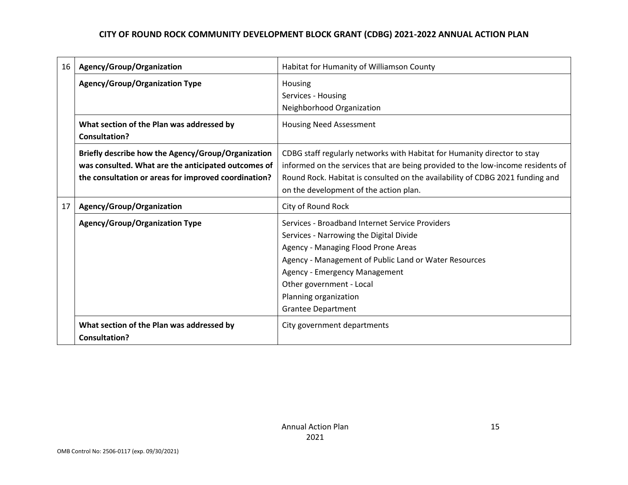| 16 | Agency/Group/Organization                                                                                                                                         | Habitat for Humanity of Williamson County                                                                                                                                                                                                                                                                     |
|----|-------------------------------------------------------------------------------------------------------------------------------------------------------------------|---------------------------------------------------------------------------------------------------------------------------------------------------------------------------------------------------------------------------------------------------------------------------------------------------------------|
|    | <b>Agency/Group/Organization Type</b>                                                                                                                             | Housing<br>Services - Housing<br>Neighborhood Organization                                                                                                                                                                                                                                                    |
|    | What section of the Plan was addressed by<br><b>Consultation?</b>                                                                                                 | <b>Housing Need Assessment</b>                                                                                                                                                                                                                                                                                |
|    | Briefly describe how the Agency/Group/Organization<br>was consulted. What are the anticipated outcomes of<br>the consultation or areas for improved coordination? | CDBG staff regularly networks with Habitat for Humanity director to stay<br>informed on the services that are being provided to the low-income residents of<br>Round Rock. Habitat is consulted on the availability of CDBG 2021 funding and<br>on the development of the action plan.                        |
| 17 | Agency/Group/Organization                                                                                                                                         | City of Round Rock                                                                                                                                                                                                                                                                                            |
|    | <b>Agency/Group/Organization Type</b>                                                                                                                             | Services - Broadband Internet Service Providers<br>Services - Narrowing the Digital Divide<br>Agency - Managing Flood Prone Areas<br>Agency - Management of Public Land or Water Resources<br>Agency - Emergency Management<br>Other government - Local<br>Planning organization<br><b>Grantee Department</b> |
|    | What section of the Plan was addressed by<br><b>Consultation?</b>                                                                                                 | City government departments                                                                                                                                                                                                                                                                                   |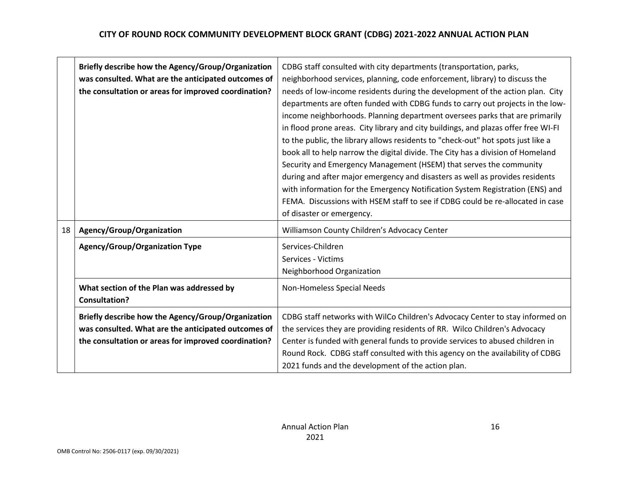|    | Briefly describe how the Agency/Group/Organization<br>was consulted. What are the anticipated outcomes of<br>the consultation or areas for improved coordination? | CDBG staff consulted with city departments (transportation, parks,<br>neighborhood services, planning, code enforcement, library) to discuss the<br>needs of low-income residents during the development of the action plan. City<br>departments are often funded with CDBG funds to carry out projects in the low-<br>income neighborhoods. Planning department oversees parks that are primarily<br>in flood prone areas. City library and city buildings, and plazas offer free WI-FI<br>to the public, the library allows residents to "check-out" hot spots just like a<br>book all to help narrow the digital divide. The City has a division of Homeland |
|----|-------------------------------------------------------------------------------------------------------------------------------------------------------------------|-----------------------------------------------------------------------------------------------------------------------------------------------------------------------------------------------------------------------------------------------------------------------------------------------------------------------------------------------------------------------------------------------------------------------------------------------------------------------------------------------------------------------------------------------------------------------------------------------------------------------------------------------------------------|
|    |                                                                                                                                                                   | Security and Emergency Management (HSEM) that serves the community<br>during and after major emergency and disasters as well as provides residents<br>with information for the Emergency Notification System Registration (ENS) and<br>FEMA. Discussions with HSEM staff to see if CDBG could be re-allocated in case<br>of disaster or emergency.                                                                                                                                                                                                                                                                                                              |
| 18 | Agency/Group/Organization                                                                                                                                         | Williamson County Children's Advocacy Center                                                                                                                                                                                                                                                                                                                                                                                                                                                                                                                                                                                                                    |
|    | <b>Agency/Group/Organization Type</b>                                                                                                                             | Services-Children<br>Services - Victims<br>Neighborhood Organization                                                                                                                                                                                                                                                                                                                                                                                                                                                                                                                                                                                            |
|    | What section of the Plan was addressed by<br><b>Consultation?</b>                                                                                                 | Non-Homeless Special Needs                                                                                                                                                                                                                                                                                                                                                                                                                                                                                                                                                                                                                                      |
|    | Briefly describe how the Agency/Group/Organization<br>was consulted. What are the anticipated outcomes of<br>the consultation or areas for improved coordination? | CDBG staff networks with WilCo Children's Advocacy Center to stay informed on<br>the services they are providing residents of RR. Wilco Children's Advocacy<br>Center is funded with general funds to provide services to abused children in<br>Round Rock. CDBG staff consulted with this agency on the availability of CDBG<br>2021 funds and the development of the action plan.                                                                                                                                                                                                                                                                             |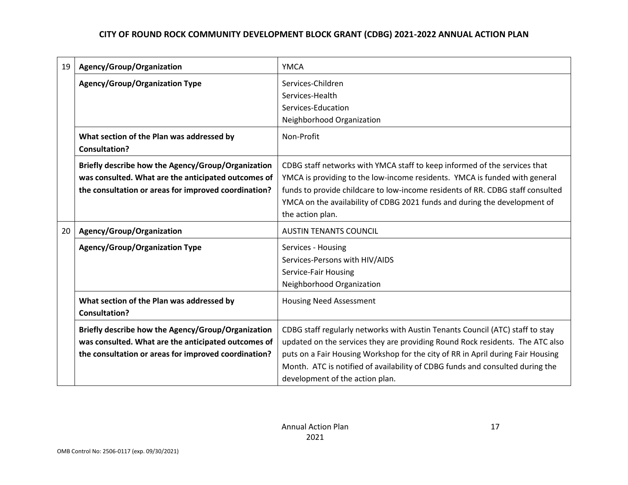| 19 | Agency/Group/Organization                            | <b>YMCA</b>                                                                     |
|----|------------------------------------------------------|---------------------------------------------------------------------------------|
|    | <b>Agency/Group/Organization Type</b>                | Services-Children                                                               |
|    |                                                      | Services-Health                                                                 |
|    |                                                      | Services-Education                                                              |
|    |                                                      | Neighborhood Organization                                                       |
|    | What section of the Plan was addressed by            | Non-Profit                                                                      |
|    | <b>Consultation?</b>                                 |                                                                                 |
|    | Briefly describe how the Agency/Group/Organization   | CDBG staff networks with YMCA staff to keep informed of the services that       |
|    | was consulted. What are the anticipated outcomes of  | YMCA is providing to the low-income residents. YMCA is funded with general      |
|    | the consultation or areas for improved coordination? | funds to provide childcare to low-income residents of RR. CDBG staff consulted  |
|    |                                                      | YMCA on the availability of CDBG 2021 funds and during the development of       |
|    |                                                      | the action plan.                                                                |
| 20 | Agency/Group/Organization                            | <b>AUSTIN TENANTS COUNCIL</b>                                                   |
|    | <b>Agency/Group/Organization Type</b>                | Services - Housing                                                              |
|    |                                                      | Services-Persons with HIV/AIDS                                                  |
|    |                                                      | Service-Fair Housing                                                            |
|    |                                                      | Neighborhood Organization                                                       |
|    | What section of the Plan was addressed by            | <b>Housing Need Assessment</b>                                                  |
|    | <b>Consultation?</b>                                 |                                                                                 |
|    | Briefly describe how the Agency/Group/Organization   | CDBG staff regularly networks with Austin Tenants Council (ATC) staff to stay   |
|    | was consulted. What are the anticipated outcomes of  | updated on the services they are providing Round Rock residents. The ATC also   |
|    | the consultation or areas for improved coordination? | puts on a Fair Housing Workshop for the city of RR in April during Fair Housing |
|    |                                                      | Month. ATC is notified of availability of CDBG funds and consulted during the   |
|    |                                                      | development of the action plan.                                                 |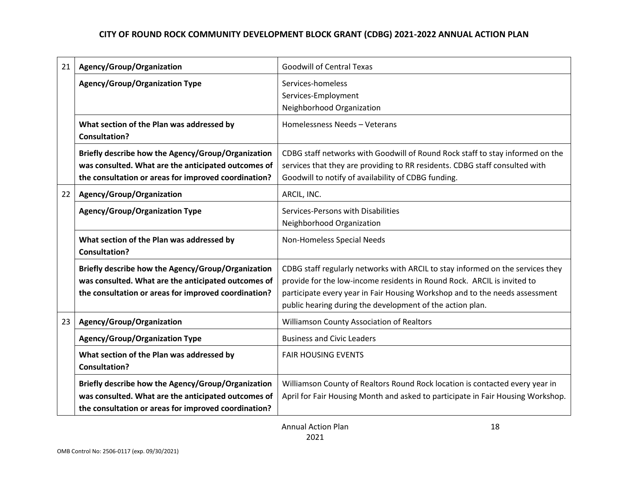| 21 | Agency/Group/Organization                                                                                                                                         | <b>Goodwill of Central Texas</b>                                                                                                                                                                                                                                                                      |
|----|-------------------------------------------------------------------------------------------------------------------------------------------------------------------|-------------------------------------------------------------------------------------------------------------------------------------------------------------------------------------------------------------------------------------------------------------------------------------------------------|
|    | <b>Agency/Group/Organization Type</b>                                                                                                                             | Services-homeless<br>Services-Employment<br>Neighborhood Organization                                                                                                                                                                                                                                 |
|    | What section of the Plan was addressed by<br><b>Consultation?</b>                                                                                                 | Homelessness Needs - Veterans                                                                                                                                                                                                                                                                         |
|    | Briefly describe how the Agency/Group/Organization<br>was consulted. What are the anticipated outcomes of<br>the consultation or areas for improved coordination? | CDBG staff networks with Goodwill of Round Rock staff to stay informed on the<br>services that they are providing to RR residents. CDBG staff consulted with<br>Goodwill to notify of availability of CDBG funding.                                                                                   |
| 22 | Agency/Group/Organization                                                                                                                                         | ARCIL, INC.                                                                                                                                                                                                                                                                                           |
|    | <b>Agency/Group/Organization Type</b>                                                                                                                             | Services-Persons with Disabilities<br>Neighborhood Organization                                                                                                                                                                                                                                       |
|    | What section of the Plan was addressed by<br><b>Consultation?</b>                                                                                                 | Non-Homeless Special Needs                                                                                                                                                                                                                                                                            |
|    | Briefly describe how the Agency/Group/Organization<br>was consulted. What are the anticipated outcomes of<br>the consultation or areas for improved coordination? | CDBG staff regularly networks with ARCIL to stay informed on the services they<br>provide for the low-income residents in Round Rock. ARCIL is invited to<br>participate every year in Fair Housing Workshop and to the needs assessment<br>public hearing during the development of the action plan. |
| 23 | Agency/Group/Organization                                                                                                                                         | Williamson County Association of Realtors                                                                                                                                                                                                                                                             |
|    | <b>Agency/Group/Organization Type</b>                                                                                                                             | <b>Business and Civic Leaders</b>                                                                                                                                                                                                                                                                     |
|    | What section of the Plan was addressed by<br><b>Consultation?</b>                                                                                                 | <b>FAIR HOUSING EVENTS</b>                                                                                                                                                                                                                                                                            |
|    | Briefly describe how the Agency/Group/Organization<br>was consulted. What are the anticipated outcomes of<br>the consultation or areas for improved coordination? | Williamson County of Realtors Round Rock location is contacted every year in<br>April for Fair Housing Month and asked to participate in Fair Housing Workshop.                                                                                                                                       |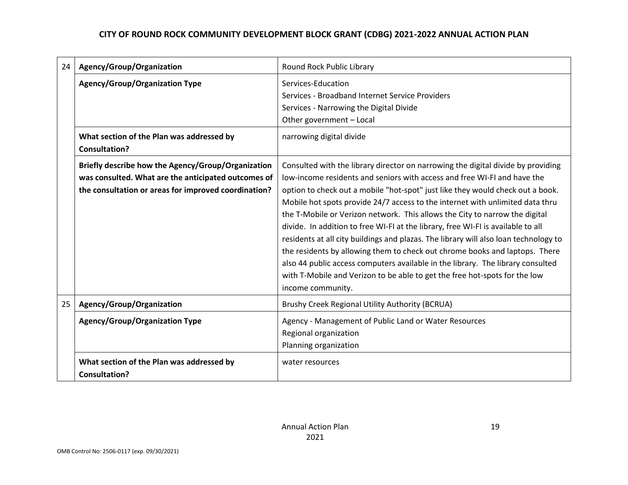| 24 | Agency/Group/Organization                                                                                                                                         | Round Rock Public Library                                                                                                                                                                                                                                                                                                                                                                                                                                                                                                                                                                                                                                                                                                                                                                                                                                       |
|----|-------------------------------------------------------------------------------------------------------------------------------------------------------------------|-----------------------------------------------------------------------------------------------------------------------------------------------------------------------------------------------------------------------------------------------------------------------------------------------------------------------------------------------------------------------------------------------------------------------------------------------------------------------------------------------------------------------------------------------------------------------------------------------------------------------------------------------------------------------------------------------------------------------------------------------------------------------------------------------------------------------------------------------------------------|
|    | <b>Agency/Group/Organization Type</b>                                                                                                                             | Services-Education<br>Services - Broadband Internet Service Providers<br>Services - Narrowing the Digital Divide<br>Other government - Local                                                                                                                                                                                                                                                                                                                                                                                                                                                                                                                                                                                                                                                                                                                    |
|    | What section of the Plan was addressed by<br><b>Consultation?</b>                                                                                                 | narrowing digital divide                                                                                                                                                                                                                                                                                                                                                                                                                                                                                                                                                                                                                                                                                                                                                                                                                                        |
|    | Briefly describe how the Agency/Group/Organization<br>was consulted. What are the anticipated outcomes of<br>the consultation or areas for improved coordination? | Consulted with the library director on narrowing the digital divide by providing<br>low-income residents and seniors with access and free WI-FI and have the<br>option to check out a mobile "hot-spot" just like they would check out a book.<br>Mobile hot spots provide 24/7 access to the internet with unlimited data thru<br>the T-Mobile or Verizon network. This allows the City to narrow the digital<br>divide. In addition to free WI-FI at the library, free WI-FI is available to all<br>residents at all city buildings and plazas. The library will also loan technology to<br>the residents by allowing them to check out chrome books and laptops. There<br>also 44 public access computers available in the library. The library consulted<br>with T-Mobile and Verizon to be able to get the free hot-spots for the low<br>income community. |
| 25 | Agency/Group/Organization                                                                                                                                         | Brushy Creek Regional Utility Authority (BCRUA)                                                                                                                                                                                                                                                                                                                                                                                                                                                                                                                                                                                                                                                                                                                                                                                                                 |
|    | <b>Agency/Group/Organization Type</b>                                                                                                                             | Agency - Management of Public Land or Water Resources<br>Regional organization<br>Planning organization                                                                                                                                                                                                                                                                                                                                                                                                                                                                                                                                                                                                                                                                                                                                                         |
|    | What section of the Plan was addressed by<br>Consultation?                                                                                                        | water resources                                                                                                                                                                                                                                                                                                                                                                                                                                                                                                                                                                                                                                                                                                                                                                                                                                                 |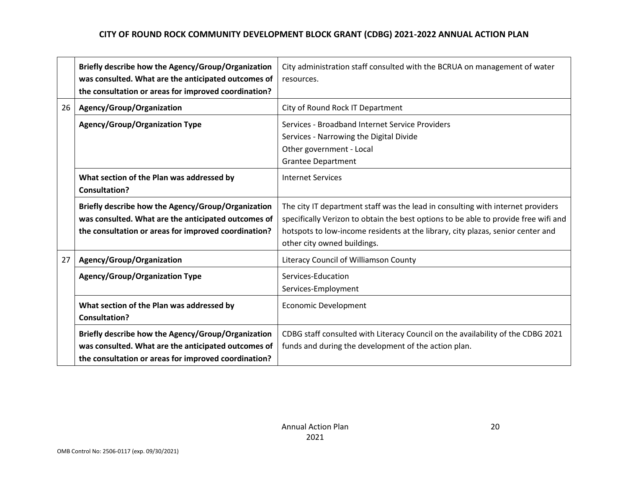|    | Briefly describe how the Agency/Group/Organization<br>was consulted. What are the anticipated outcomes of<br>the consultation or areas for improved coordination? | City administration staff consulted with the BCRUA on management of water<br>resources.                                                                                                                                                                                                  |
|----|-------------------------------------------------------------------------------------------------------------------------------------------------------------------|------------------------------------------------------------------------------------------------------------------------------------------------------------------------------------------------------------------------------------------------------------------------------------------|
| 26 | Agency/Group/Organization                                                                                                                                         | City of Round Rock IT Department                                                                                                                                                                                                                                                         |
|    | <b>Agency/Group/Organization Type</b>                                                                                                                             | Services - Broadband Internet Service Providers<br>Services - Narrowing the Digital Divide<br>Other government - Local<br><b>Grantee Department</b>                                                                                                                                      |
|    | What section of the Plan was addressed by<br><b>Consultation?</b>                                                                                                 | <b>Internet Services</b>                                                                                                                                                                                                                                                                 |
|    | Briefly describe how the Agency/Group/Organization<br>was consulted. What are the anticipated outcomes of<br>the consultation or areas for improved coordination? | The city IT department staff was the lead in consulting with internet providers<br>specifically Verizon to obtain the best options to be able to provide free wifi and<br>hotspots to low-income residents at the library, city plazas, senior center and<br>other city owned buildings. |
| 27 | Agency/Group/Organization                                                                                                                                         | <b>Literacy Council of Williamson County</b>                                                                                                                                                                                                                                             |
|    | <b>Agency/Group/Organization Type</b>                                                                                                                             | Services-Education<br>Services-Employment                                                                                                                                                                                                                                                |
|    | What section of the Plan was addressed by<br><b>Consultation?</b>                                                                                                 | <b>Economic Development</b>                                                                                                                                                                                                                                                              |
|    | Briefly describe how the Agency/Group/Organization<br>was consulted. What are the anticipated outcomes of<br>the consultation or areas for improved coordination? | CDBG staff consulted with Literacy Council on the availability of the CDBG 2021<br>funds and during the development of the action plan.                                                                                                                                                  |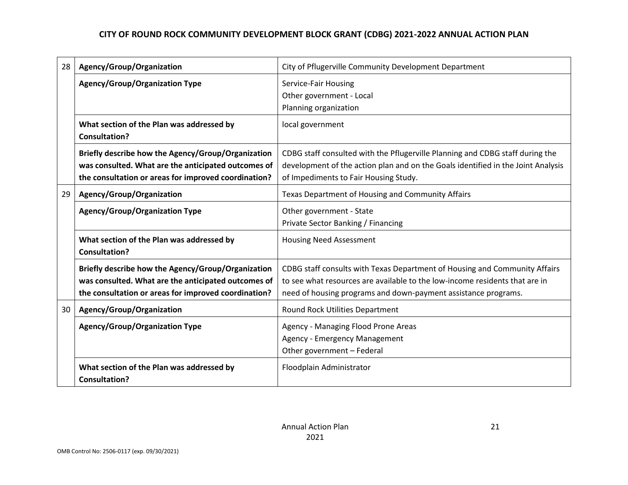| 28 | Agency/Group/Organization                                                                                                                                         | City of Pflugerville Community Development Department                                                                                                                                                                       |
|----|-------------------------------------------------------------------------------------------------------------------------------------------------------------------|-----------------------------------------------------------------------------------------------------------------------------------------------------------------------------------------------------------------------------|
|    | <b>Agency/Group/Organization Type</b>                                                                                                                             | Service-Fair Housing<br>Other government - Local<br>Planning organization                                                                                                                                                   |
|    | What section of the Plan was addressed by<br><b>Consultation?</b>                                                                                                 | local government                                                                                                                                                                                                            |
|    | Briefly describe how the Agency/Group/Organization<br>was consulted. What are the anticipated outcomes of<br>the consultation or areas for improved coordination? | CDBG staff consulted with the Pflugerville Planning and CDBG staff during the<br>development of the action plan and on the Goals identified in the Joint Analysis<br>of Impediments to Fair Housing Study.                  |
| 29 | Agency/Group/Organization                                                                                                                                         | Texas Department of Housing and Community Affairs                                                                                                                                                                           |
|    | <b>Agency/Group/Organization Type</b>                                                                                                                             | Other government - State<br>Private Sector Banking / Financing                                                                                                                                                              |
|    | What section of the Plan was addressed by<br><b>Consultation?</b>                                                                                                 | <b>Housing Need Assessment</b>                                                                                                                                                                                              |
|    | Briefly describe how the Agency/Group/Organization<br>was consulted. What are the anticipated outcomes of<br>the consultation or areas for improved coordination? | CDBG staff consults with Texas Department of Housing and Community Affairs<br>to see what resources are available to the low-income residents that are in<br>need of housing programs and down-payment assistance programs. |
| 30 | Agency/Group/Organization                                                                                                                                         | Round Rock Utilities Department                                                                                                                                                                                             |
|    | <b>Agency/Group/Organization Type</b>                                                                                                                             | Agency - Managing Flood Prone Areas<br>Agency - Emergency Management<br>Other government - Federal                                                                                                                          |
|    | What section of the Plan was addressed by<br><b>Consultation?</b>                                                                                                 | Floodplain Administrator                                                                                                                                                                                                    |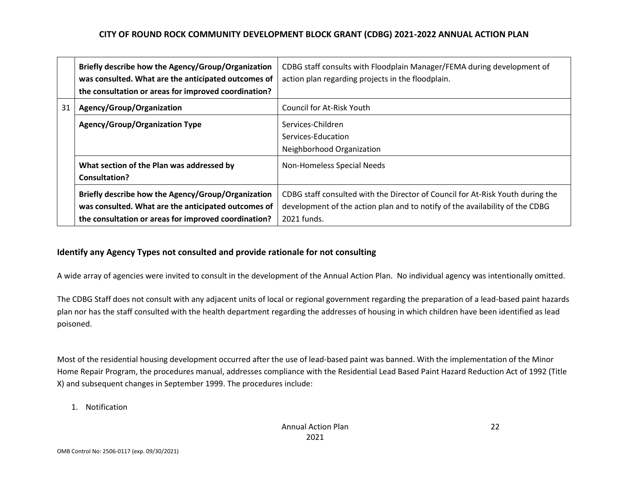|    | Briefly describe how the Agency/Group/Organization<br>was consulted. What are the anticipated outcomes of<br>the consultation or areas for improved coordination? | CDBG staff consults with Floodplain Manager/FEMA during development of<br>action plan regarding projects in the floodplain.                                                   |
|----|-------------------------------------------------------------------------------------------------------------------------------------------------------------------|-------------------------------------------------------------------------------------------------------------------------------------------------------------------------------|
| 31 | Agency/Group/Organization                                                                                                                                         | Council for At-Risk Youth                                                                                                                                                     |
|    | <b>Agency/Group/Organization Type</b>                                                                                                                             | Services-Children<br>Services-Education<br>Neighborhood Organization                                                                                                          |
|    | What section of the Plan was addressed by<br>Consultation?                                                                                                        | Non-Homeless Special Needs                                                                                                                                                    |
|    | Briefly describe how the Agency/Group/Organization<br>was consulted. What are the anticipated outcomes of<br>the consultation or areas for improved coordination? | CDBG staff consulted with the Director of Council for At-Risk Youth during the<br>development of the action plan and to notify of the availability of the CDBG<br>2021 funds. |

### **Identify any Agency Types not consulted and provide rationale for not consulting**

A wide array of agencies were invited to consult in the development of the Annual Action Plan. No individual agency was intentionally omitted.

The CDBG Staff does not consult with any adjacent units of local or regional government regarding the preparation of a lead-based paint hazards plan nor has the staff consulted with the health department regarding the addresses of housing in which children have been identified as lead poisoned.

Most of the residential housing development occurred after the use of lead-based paint was banned. With the implementation of the Minor Home Repair Program, the procedures manual, addresses compliance with the Residential Lead Based Paint Hazard Reduction Act of 1992 (Title X) and subsequent changes in September 1999. The procedures include:

1. Notification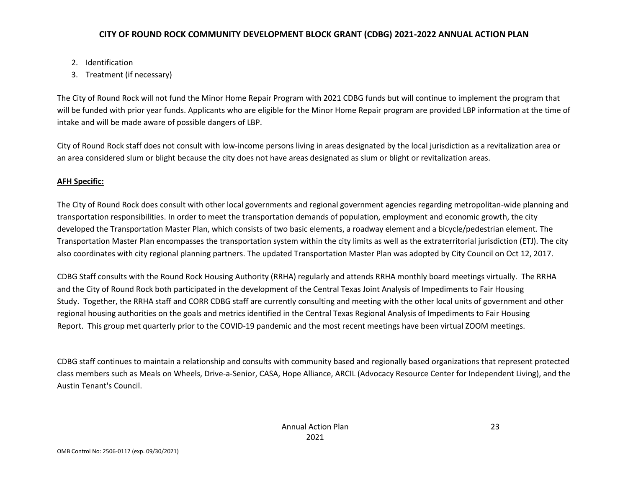- 2. Identification
- 3. Treatment (if necessary)

The City of Round Rock will not fund the Minor Home Repair Program with 2021 CDBG funds but will continue to implement the program that will be funded with prior year funds. Applicants who are eligible for the Minor Home Repair program are provided LBP information at the time of intake and will be made aware of possible dangers of LBP.

City of Round Rock staff does not consult with low-income persons living in areas designated by the local jurisdiction as a revitalization area or an area considered slum or blight because the city does not have areas designated as slum or blight or revitalization areas.

### **AFH Specific:**

The City of Round Rock does consult with other local governments and regional government agencies regarding metropolitan-wide planning and transportation responsibilities. In order to meet the transportation demands of population, employment and economic growth, the city developed the Transportation Master Plan, which consists of two basic elements, a roadway element and a bicycle/pedestrian element. The Transportation Master Plan encompasses the transportation system within the city limits as well as the extraterritorial jurisdiction (ETJ). The city also coordinates with city regional planning partners. The updated Transportation Master Plan was adopted by City Council on Oct 12, 2017.

CDBG Staff consults with the Round Rock Housing Authority (RRHA) regularly and attends RRHA monthly board meetings virtually. The RRHA and the City of Round Rock both participated in the development of the Central Texas Joint Analysis of Impediments to Fair Housing Study. Together, the RRHA staff and CORR CDBG staff are currently consulting and meeting with the other local units of government and other regional housing authorities on the goals and metrics identified in the Central Texas Regional Analysis of Impediments to Fair Housing Report. This group met quarterly prior to the COVID-19 pandemic and the most recent meetings have been virtual ZOOM meetings.

CDBG staff continues to maintain a relationship and consults with community based and regionally based organizations that represent protected class members such as Meals on Wheels, Drive-a-Senior, CASA, Hope Alliance, ARCIL (Advocacy Resource Center for Independent Living), and the Austin Tenant's Council.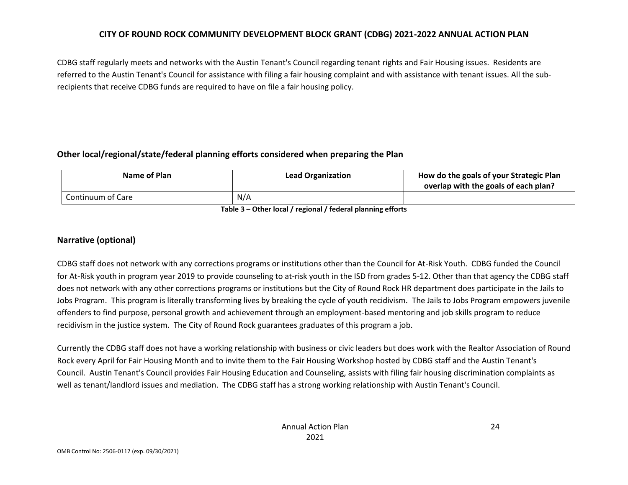CDBG staff regularly meets and networks with the Austin Tenant's Council regarding tenant rights and Fair Housing issues. Residents are referred to the Austin Tenant's Council for assistance with filing a fair housing complaint and with assistance with tenant issues. All the subrecipients that receive CDBG funds are required to have on file a fair housing policy.

### **Other local/regional/state/federal planning efforts considered when preparing the Plan**

| Name of Plan      | <b>Lead Organization</b> | How do the goals of your Strategic Plan<br>overlap with the goals of each plan? |
|-------------------|--------------------------|---------------------------------------------------------------------------------|
| Continuum of Care | N/A                      |                                                                                 |

**Table 3 – Other local / regional / federal planning efforts**

### **Narrative (optional)**

CDBG staff does not network with any corrections programs or institutions other than the Council for At-Risk Youth. CDBG funded the Council for At-Risk youth in program year 2019 to provide counseling to at-risk youth in the ISD from grades 5-12. Other than that agency the CDBG staff does not network with any other corrections programs or institutions but the City of Round Rock HR department does participate in the Jails to Jobs Program. This program is literally transforming lives by breaking the cycle of youth recidivism. The Jails to Jobs Program empowers juvenile offenders to find purpose, personal growth and achievement through an employment-based mentoring and job skills program to reduce recidivism in the justice system. The City of Round Rock guarantees graduates of this program a job.

Currently the CDBG staff does not have a working relationship with business or civic leaders but does work with the Realtor Association of Round Rock every April for Fair Housing Month and to invite them to the Fair Housing Workshop hosted by CDBG staff and the Austin Tenant's Council. Austin Tenant's Council provides Fair Housing Education and Counseling, assists with filing fair housing discrimination complaints as well as tenant/landlord issues and mediation. The CDBG staff has a strong working relationship with Austin Tenant's Council.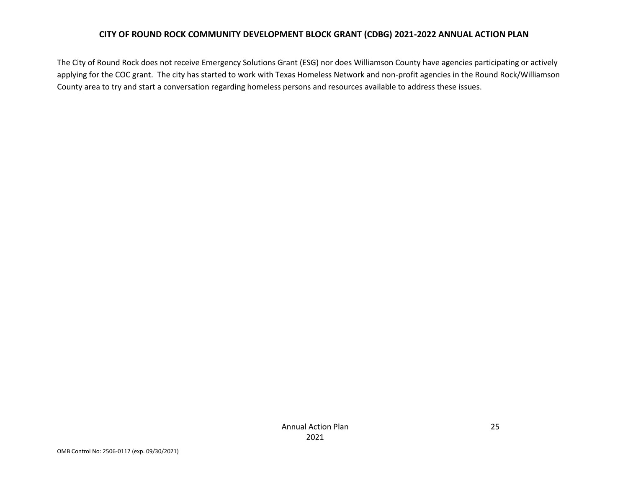The City of Round Rock does not receive Emergency Solutions Grant (ESG) nor does Williamson County have agencies participating or actively applying for the COC grant. The city has started to work with Texas Homeless Network and non-profit agencies in the Round Rock/Williamson County area to try and start a conversation regarding homeless persons and resources available to address these issues.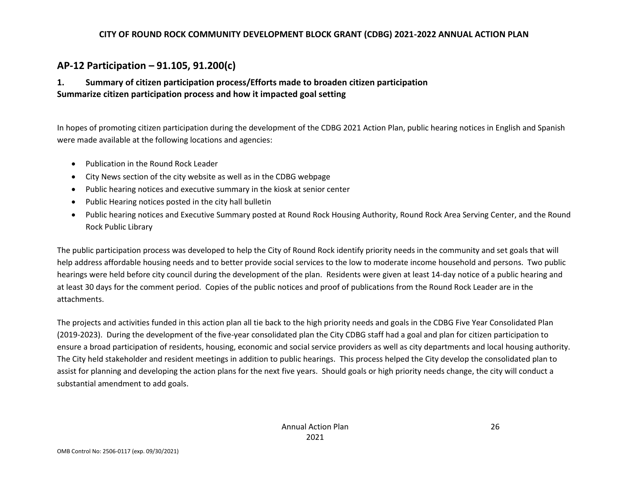# **AP-12 Participation – 91.105, 91.200(c)**

### **1. Summary of citizen participation process/Efforts made to broaden citizen participation Summarize citizen participation process and how it impacted goal setting**

In hopes of promoting citizen participation during the development of the CDBG 2021 Action Plan, public hearing notices in English and Spanish were made available at the following locations and agencies:

- Publication in the Round Rock Leader
- City News section of the city website as well as in the CDBG webpage
- Public hearing notices and executive summary in the kiosk at senior center
- Public Hearing notices posted in the city hall bulletin
- Public hearing notices and Executive Summary posted at Round Rock Housing Authority, Round Rock Area Serving Center, and the Round Rock Public Library

The public participation process was developed to help the City of Round Rock identify priority needs in the community and set goals that will help address affordable housing needs and to better provide social services to the low to moderate income household and persons. Two public hearings were held before city council during the development of the plan. Residents were given at least 14-day notice of a public hearing and at least 30 days for the comment period. Copies of the public notices and proof of publications from the Round Rock Leader are in the attachments.

The projects and activities funded in this action plan all tie back to the high priority needs and goals in the CDBG Five Year Consolidated Plan (2019-2023). During the development of the five-year consolidated plan the City CDBG staff had a goal and plan for citizen participation to ensure a broad participation of residents, housing, economic and social service providers as well as city departments and local housing authority. The City held stakeholder and resident meetings in addition to public hearings. This process helped the City develop the consolidated plan to assist for planning and developing the action plans for the next five years. Should goals or high priority needs change, the city will conduct a substantial amendment to add goals.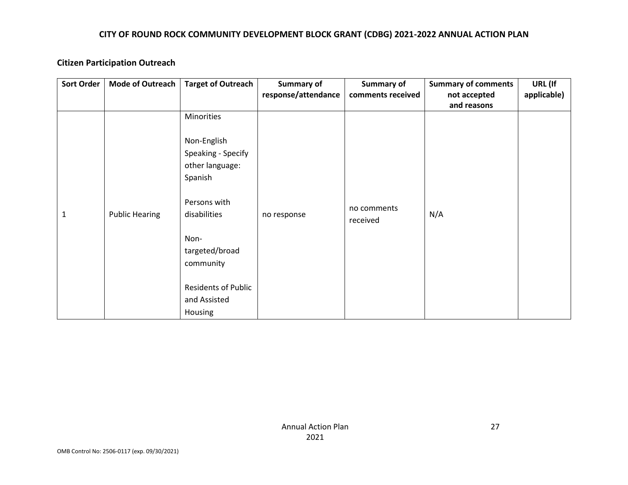# **Citizen Participation Outreach**

| <b>Sort Order</b> | <b>Mode of Outreach</b> | <b>Target of Outreach</b>  | Summary of          | Summary of              | <b>Summary of comments</b> | URL (If     |
|-------------------|-------------------------|----------------------------|---------------------|-------------------------|----------------------------|-------------|
|                   |                         |                            | response/attendance | comments received       | not accepted               | applicable) |
|                   |                         |                            |                     |                         | and reasons                |             |
|                   |                         | Minorities                 |                     |                         |                            |             |
|                   |                         | Non-English                |                     |                         |                            |             |
|                   |                         | Speaking - Specify         |                     |                         |                            |             |
|                   |                         | other language:            |                     |                         |                            |             |
|                   |                         | Spanish                    |                     |                         |                            |             |
|                   |                         | Persons with               |                     |                         |                            |             |
| 1                 | <b>Public Hearing</b>   | disabilities               | no response         | no comments<br>received | N/A                        |             |
|                   |                         | Non-                       |                     |                         |                            |             |
|                   |                         | targeted/broad             |                     |                         |                            |             |
|                   |                         | community                  |                     |                         |                            |             |
|                   |                         |                            |                     |                         |                            |             |
|                   |                         | <b>Residents of Public</b> |                     |                         |                            |             |
|                   |                         | and Assisted               |                     |                         |                            |             |
|                   |                         | Housing                    |                     |                         |                            |             |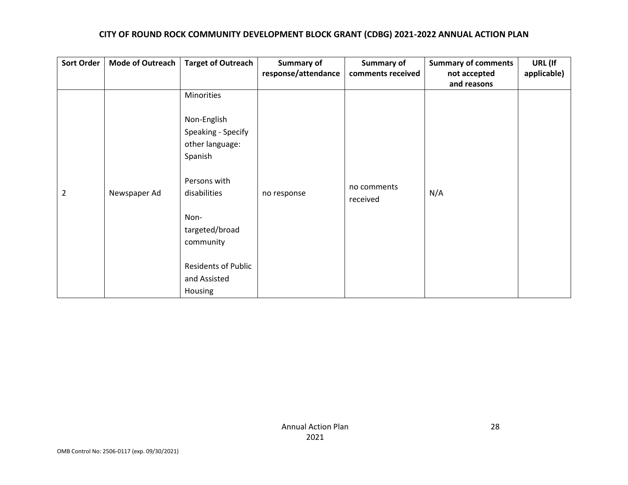| Sort Order | <b>Mode of Outreach</b> | <b>Target of Outreach</b>         | Summary of          | Summary of        | <b>Summary of comments</b> | URL (If     |
|------------|-------------------------|-----------------------------------|---------------------|-------------------|----------------------------|-------------|
|            |                         |                                   | response/attendance | comments received | not accepted               | applicable) |
|            |                         |                                   |                     |                   | and reasons                |             |
|            |                         | Minorities                        |                     |                   |                            |             |
|            |                         | Non-English<br>Speaking - Specify |                     |                   |                            |             |
|            |                         | other language:                   |                     |                   |                            |             |
|            |                         | Spanish                           |                     |                   |                            |             |
|            |                         | Persons with                      |                     | no comments       |                            |             |
| 2          | Newspaper Ad            | disabilities                      | no response         | received          | N/A                        |             |
|            |                         | Non-                              |                     |                   |                            |             |
|            |                         | targeted/broad                    |                     |                   |                            |             |
|            |                         | community                         |                     |                   |                            |             |
|            |                         |                                   |                     |                   |                            |             |
|            |                         | <b>Residents of Public</b>        |                     |                   |                            |             |
|            |                         | and Assisted                      |                     |                   |                            |             |
|            |                         | Housing                           |                     |                   |                            |             |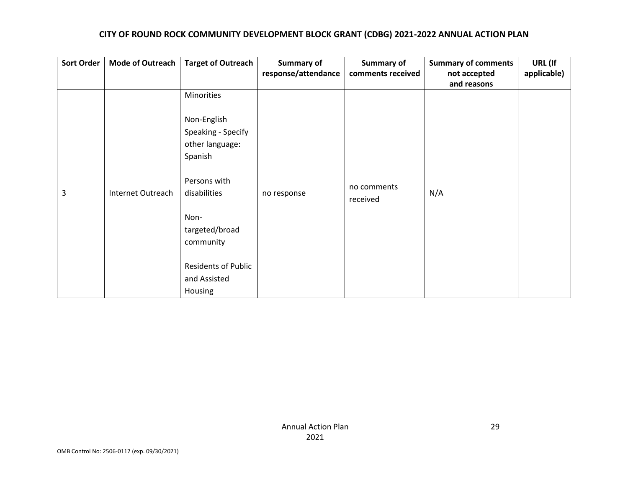| Sort Order | <b>Mode of Outreach</b>  | <b>Target of Outreach</b>                                       | Summary of          | Summary of              | <b>Summary of comments</b> | URL (If     |
|------------|--------------------------|-----------------------------------------------------------------|---------------------|-------------------------|----------------------------|-------------|
|            |                          |                                                                 | response/attendance | comments received       | not accepted               | applicable) |
|            |                          |                                                                 |                     |                         | and reasons                |             |
|            |                          | Minorities                                                      |                     |                         |                            |             |
|            |                          | Non-English<br>Speaking - Specify<br>other language:<br>Spanish |                     |                         |                            |             |
| 3          | <b>Internet Outreach</b> | Persons with<br>disabilities                                    | no response         | no comments<br>received | N/A                        |             |
|            |                          | Non-                                                            |                     |                         |                            |             |
|            |                          | targeted/broad                                                  |                     |                         |                            |             |
|            |                          | community                                                       |                     |                         |                            |             |
|            |                          | <b>Residents of Public</b>                                      |                     |                         |                            |             |
|            |                          | and Assisted                                                    |                     |                         |                            |             |
|            |                          | Housing                                                         |                     |                         |                            |             |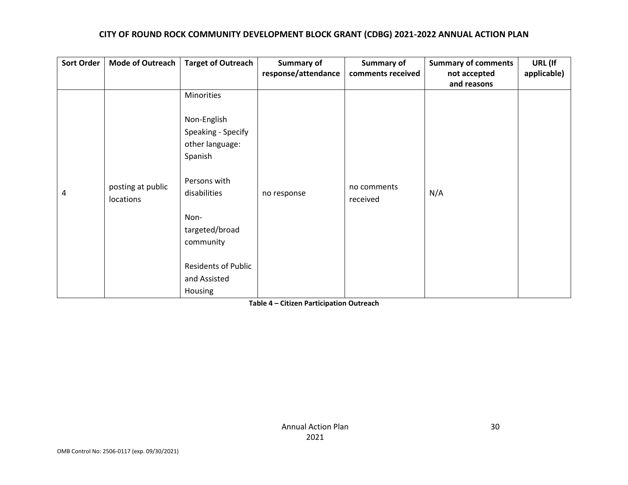|           | <b>Mode of Outreach</b> | <b>Target of Outreach</b>                             | Summary of          | Summary of        | <b>Summary of comments</b> | URL (If     |
|-----------|-------------------------|-------------------------------------------------------|---------------------|-------------------|----------------------------|-------------|
|           |                         |                                                       | response/attendance | comments received | not accepted               | applicable) |
|           |                         |                                                       |                     |                   | and reasons                |             |
|           |                         | Minorities                                            |                     |                   |                            |             |
|           |                         | Non-English                                           |                     |                   |                            |             |
|           |                         | Speaking - Specify                                    |                     |                   |                            |             |
|           |                         | other language:                                       |                     |                   |                            |             |
|           |                         | Spanish                                               |                     |                   |                            |             |
|           |                         | Persons with                                          |                     |                   |                            |             |
| locations |                         | disabilities                                          | no response         | received          | N/A                        |             |
|           |                         | Non-                                                  |                     |                   |                            |             |
|           |                         | targeted/broad                                        |                     |                   |                            |             |
|           |                         | community                                             |                     |                   |                            |             |
|           |                         |                                                       |                     |                   |                            |             |
|           |                         |                                                       |                     |                   |                            |             |
|           |                         |                                                       |                     |                   |                            |             |
|           | posting at public       | <b>Residents of Public</b><br>and Assisted<br>Housing |                     | no comments       |                            |             |

**Table 4 – Citizen Participation Outreach**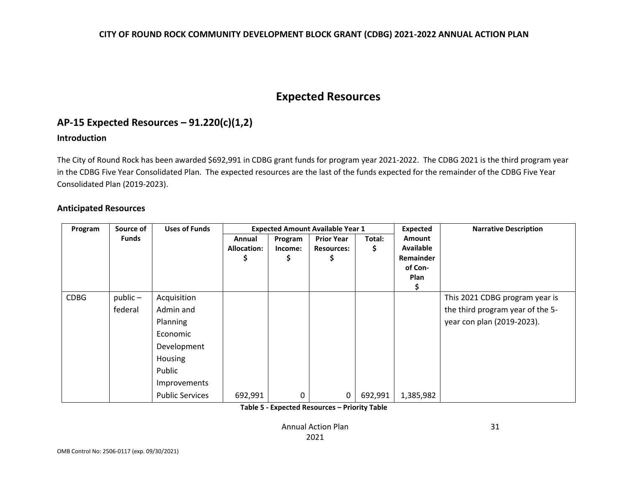# **Expected Resources**

# **AP-15 Expected Resources – 91.220(c)(1,2)**

#### **Introduction**

The City of Round Rock has been awarded \$692,991 in CDBG grant funds for program year 2021-2022. The CDBG 2021 is the third program year in the CDBG Five Year Consolidated Plan. The expected resources are the last of the funds expected for the remainder of the CDBG Five Year Consolidated Plan (2019-2023).

#### **Anticipated Resources**

| Program     | Source of             | <b>Uses of Funds</b>                                                                                                           | <b>Expected Amount Available Year 1</b> |                    |                                             |              | <b>Expected</b>                                                                | <b>Narrative Description</b>                                                                     |
|-------------|-----------------------|--------------------------------------------------------------------------------------------------------------------------------|-----------------------------------------|--------------------|---------------------------------------------|--------------|--------------------------------------------------------------------------------|--------------------------------------------------------------------------------------------------|
|             | <b>Funds</b>          |                                                                                                                                | Annual<br><b>Allocation:</b>            | Program<br>Income: | <b>Prior Year</b><br><b>Resources:</b><br>S | Total:<br>\$ | <b>Amount</b><br><b>Available</b><br>Remainder<br>of Con-<br><b>Plan</b><br>Ş. |                                                                                                  |
| <b>CDBG</b> | $public -$<br>federal | Acquisition<br>Admin and<br>Planning<br>Economic<br>Development<br>Housing<br>Public<br>Improvements<br><b>Public Services</b> | 692,991                                 | 0                  | 0                                           | 692,991      | 1,385,982                                                                      | This 2021 CDBG program year is<br>the third program year of the 5-<br>year con plan (2019-2023). |

**Table 5 - Expected Resources – Priority Table**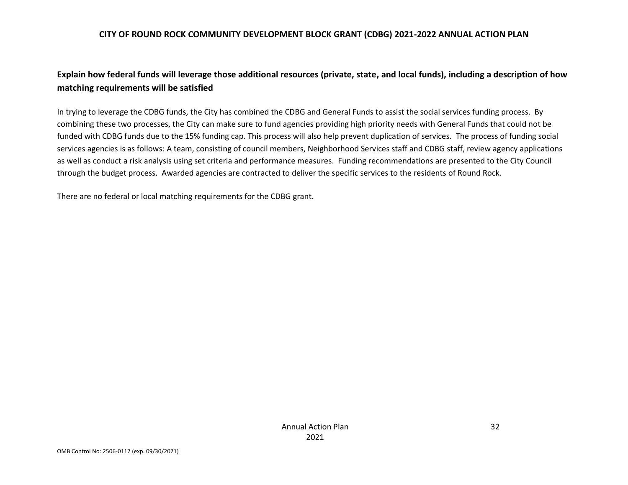# **Explain how federal funds will leverage those additional resources (private, state, and local funds), including a description of how matching requirements will be satisfied**

In trying to leverage the CDBG funds, the City has combined the CDBG and General Funds to assist the social services funding process. By combining these two processes, the City can make sure to fund agencies providing high priority needs with General Funds that could not be funded with CDBG funds due to the 15% funding cap. This process will also help prevent duplication of services. The process of funding social services agencies is as follows: A team, consisting of council members, Neighborhood Services staff and CDBG staff, review agency applications as well as conduct a risk analysis using set criteria and performance measures. Funding recommendations are presented to the City Council through the budget process. Awarded agencies are contracted to deliver the specific services to the residents of Round Rock.

There are no federal or local matching requirements for the CDBG grant.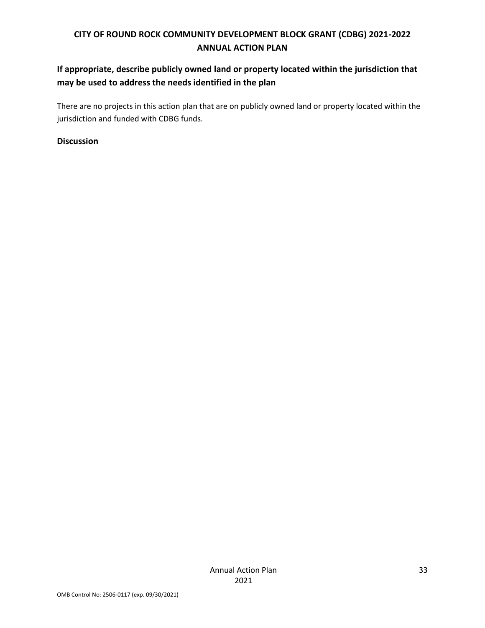# **If appropriate, describe publicly owned land or property located within the jurisdiction that may be used to address the needs identified in the plan**

There are no projects in this action plan that are on publicly owned land or property located within the jurisdiction and funded with CDBG funds.

### **Discussion**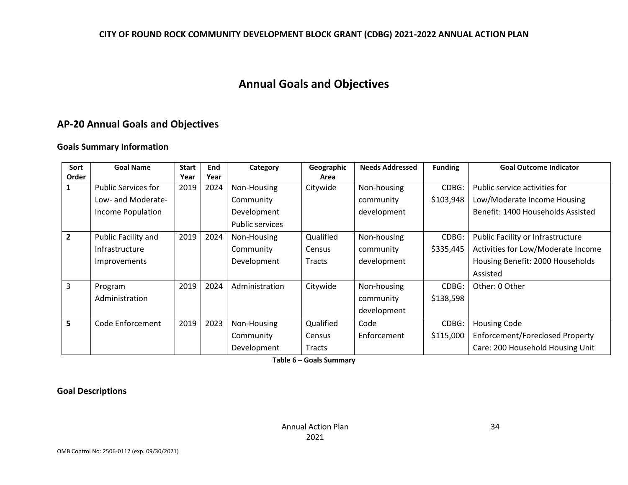# **Annual Goals and Objectives**

# **AP-20 Annual Goals and Objectives**

### **Goals Summary Information**

| Sort           | <b>Goal Name</b>           | <b>Start</b> | End  | Category               | Geographic | <b>Needs Addressed</b> | <b>Funding</b> | <b>Goal Outcome Indicator</b>      |
|----------------|----------------------------|--------------|------|------------------------|------------|------------------------|----------------|------------------------------------|
| Order          |                            | Year         | Year |                        | Area       |                        |                |                                    |
|                | <b>Public Services for</b> | 2019         | 2024 | Non-Housing            | Citywide   | Non-housing            | CDBG:          | Public service activities for      |
|                | Low- and Moderate-         |              |      | Community              |            | community              | \$103,948      | Low/Moderate Income Housing        |
|                | Income Population          |              |      | Development            |            | development            |                | Benefit: 1400 Households Assisted  |
|                |                            |              |      | <b>Public services</b> |            |                        |                |                                    |
| $\overline{2}$ | Public Facility and        | 2019         | 2024 | Non-Housing            | Qualified  | Non-housing            | CDBG:          | Public Facility or Infrastructure  |
|                | Infrastructure             |              |      | Community              | Census     | community              | \$335,445      | Activities for Low/Moderate Income |
|                | Improvements               |              |      | Development            | Tracts     | development            |                | Housing Benefit: 2000 Households   |
|                |                            |              |      |                        |            |                        |                | Assisted                           |
| 3              | Program                    | 2019         | 2024 | Administration         | Citywide   | Non-housing            | CDBG:          | Other: 0 Other                     |
|                | Administration             |              |      |                        |            | community              | \$138,598      |                                    |
|                |                            |              |      |                        |            | development            |                |                                    |
| 5              | Code Enforcement           | 2019         | 2023 | Non-Housing            | Qualified  | Code                   | CDBG:          | <b>Housing Code</b>                |
|                |                            |              |      | Community              | Census     | Enforcement            | \$115,000      | Enforcement/Foreclosed Property    |
|                |                            |              |      | Development            | Tracts     |                        |                | Care: 200 Household Housing Unit   |

**Table 6 – Goals Summary**

**Goal Descriptions**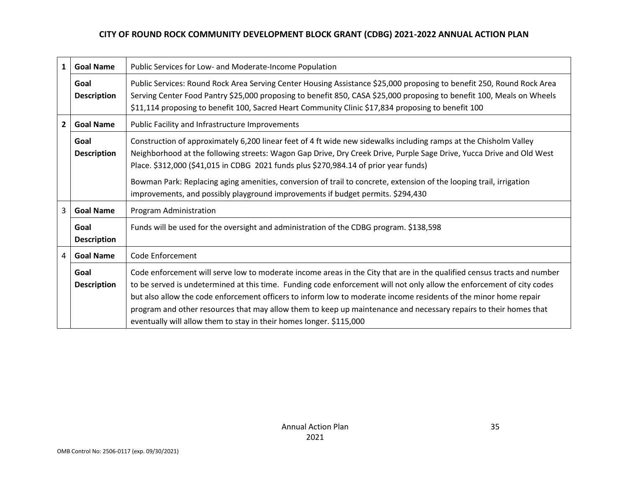| 1                                                                                     | <b>Goal Name</b>           | Public Services for Low- and Moderate-Income Population                                                                                                                                                                                                                                                                                                                                                                                                                                                                                                         |  |  |
|---------------------------------------------------------------------------------------|----------------------------|-----------------------------------------------------------------------------------------------------------------------------------------------------------------------------------------------------------------------------------------------------------------------------------------------------------------------------------------------------------------------------------------------------------------------------------------------------------------------------------------------------------------------------------------------------------------|--|--|
|                                                                                       | Goal<br><b>Description</b> | Public Services: Round Rock Area Serving Center Housing Assistance \$25,000 proposing to benefit 250, Round Rock Area<br>Serving Center Food Pantry \$25,000 proposing to benefit 850, CASA \$25,000 proposing to benefit 100, Meals on Wheels<br>\$11,114 proposing to benefit 100, Sacred Heart Community Clinic \$17,834 proposing to benefit 100                                                                                                                                                                                                            |  |  |
| $\overline{2}$<br>Public Facility and Infrastructure Improvements<br><b>Goal Name</b> |                            |                                                                                                                                                                                                                                                                                                                                                                                                                                                                                                                                                                 |  |  |
|                                                                                       | Goal<br><b>Description</b> | Construction of approximately 6,200 linear feet of 4 ft wide new sidewalks including ramps at the Chisholm Valley<br>Neighborhood at the following streets: Wagon Gap Drive, Dry Creek Drive, Purple Sage Drive, Yucca Drive and Old West<br>Place. \$312,000 (\$41,015 in CDBG 2021 funds plus \$270,984.14 of prior year funds)<br>Bowman Park: Replacing aging amenities, conversion of trail to concrete, extension of the looping trail, irrigation<br>improvements, and possibly playground improvements if budget permits. \$294,430                     |  |  |
| $\overline{3}$                                                                        | <b>Goal Name</b>           | Program Administration                                                                                                                                                                                                                                                                                                                                                                                                                                                                                                                                          |  |  |
|                                                                                       | Goal<br><b>Description</b> | Funds will be used for the oversight and administration of the CDBG program. \$138,598                                                                                                                                                                                                                                                                                                                                                                                                                                                                          |  |  |
| 4                                                                                     | <b>Goal Name</b>           | Code Enforcement                                                                                                                                                                                                                                                                                                                                                                                                                                                                                                                                                |  |  |
|                                                                                       | Goal<br><b>Description</b> | Code enforcement will serve low to moderate income areas in the City that are in the qualified census tracts and number<br>to be served is undetermined at this time. Funding code enforcement will not only allow the enforcement of city codes<br>but also allow the code enforcement officers to inform low to moderate income residents of the minor home repair<br>program and other resources that may allow them to keep up maintenance and necessary repairs to their homes that<br>eventually will allow them to stay in their homes longer. \$115,000 |  |  |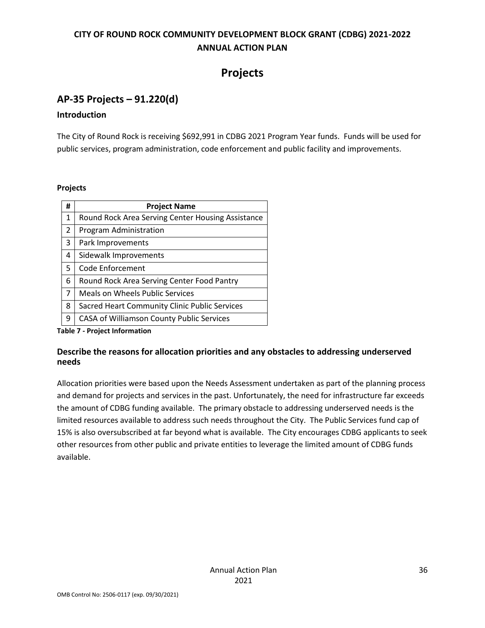# **Projects**

# **AP-35 Projects – 91.220(d)**

### **Introduction**

The City of Round Rock is receiving \$692,991 in CDBG 2021 Program Year funds. Funds will be used for public services, program administration, code enforcement and public facility and improvements.

#### **Projects**

| # | <b>Project Name</b>                               |
|---|---------------------------------------------------|
| 1 | Round Rock Area Serving Center Housing Assistance |
| 2 | Program Administration                            |
| 3 | Park Improvements                                 |
| 4 | Sidewalk Improvements                             |
| 5 | Code Enforcement                                  |
| 6 | Round Rock Area Serving Center Food Pantry        |
| 7 | <b>Meals on Wheels Public Services</b>            |
| 8 | Sacred Heart Community Clinic Public Services     |
| 9 | CASA of Williamson County Public Services         |

**Table 7 - Project Information**

### **Describe the reasons for allocation priorities and any obstacles to addressing underserved needs**

Allocation priorities were based upon the Needs Assessment undertaken as part of the planning process and demand for projects and services in the past. Unfortunately, the need for infrastructure far exceeds the amount of CDBG funding available. The primary obstacle to addressing underserved needs is the limited resources available to address such needs throughout the City. The Public Services fund cap of 15% is also oversubscribed at far beyond what is available. The City encourages CDBG applicants to seek other resources from other public and private entities to leverage the limited amount of CDBG funds available.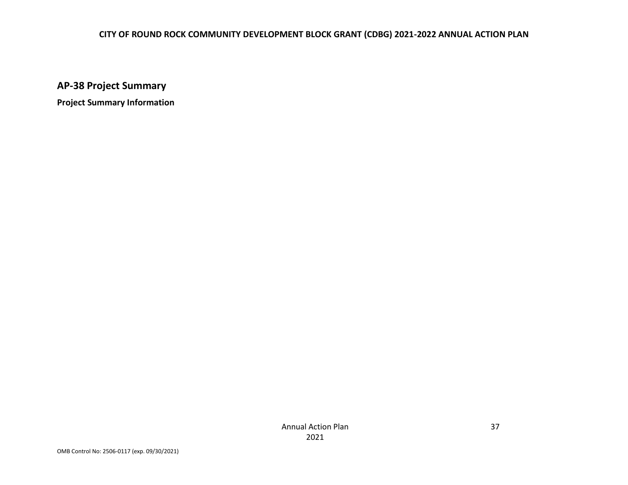**AP-38 Project Summary**

**Project Summary Information**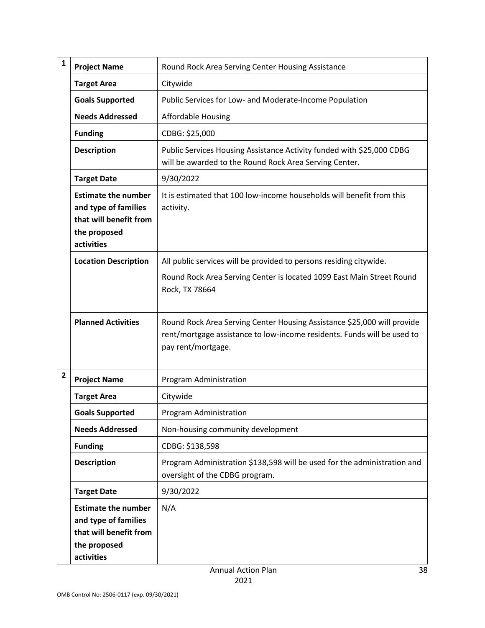| $\mathbf{1}$   | <b>Project Name</b>                                                                                        | Round Rock Area Serving Center Housing Assistance                                                                                                                        |
|----------------|------------------------------------------------------------------------------------------------------------|--------------------------------------------------------------------------------------------------------------------------------------------------------------------------|
|                | <b>Target Area</b>                                                                                         | Citywide                                                                                                                                                                 |
|                | <b>Goals Supported</b>                                                                                     | Public Services for Low- and Moderate-Income Population                                                                                                                  |
|                | <b>Needs Addressed</b>                                                                                     | <b>Affordable Housing</b>                                                                                                                                                |
|                | <b>Funding</b>                                                                                             | CDBG: \$25,000                                                                                                                                                           |
|                | <b>Description</b>                                                                                         | Public Services Housing Assistance Activity funded with \$25,000 CDBG<br>will be awarded to the Round Rock Area Serving Center.                                          |
|                | <b>Target Date</b>                                                                                         | 9/30/2022                                                                                                                                                                |
|                | <b>Estimate the number</b><br>and type of families<br>that will benefit from<br>the proposed<br>activities | It is estimated that 100 low-income households will benefit from this<br>activity.                                                                                       |
|                | <b>Location Description</b>                                                                                | All public services will be provided to persons residing citywide.                                                                                                       |
|                |                                                                                                            | Round Rock Area Serving Center is located 1099 East Main Street Round<br>Rock, TX 78664                                                                                  |
|                | <b>Planned Activities</b>                                                                                  | Round Rock Area Serving Center Housing Assistance \$25,000 will provide<br>rent/mortgage assistance to low-income residents. Funds will be used to<br>pay rent/mortgage. |
| $\overline{2}$ | <b>Project Name</b>                                                                                        | Program Administration                                                                                                                                                   |
|                | <b>Target Area</b>                                                                                         | Citywide                                                                                                                                                                 |
|                | <b>Goals Supported</b>                                                                                     | Program Administration                                                                                                                                                   |
|                | <b>Needs Addressed</b>                                                                                     | Non-housing community development                                                                                                                                        |
|                | <b>Funding</b>                                                                                             | CDBG: \$138,598                                                                                                                                                          |
|                | <b>Description</b>                                                                                         | Program Administration \$138,598 will be used for the administration and<br>oversight of the CDBG program.                                                               |
|                | <b>Target Date</b>                                                                                         | 9/30/2022                                                                                                                                                                |
|                | <b>Estimate the number</b><br>and type of families<br>that will benefit from<br>the proposed<br>activities | N/A                                                                                                                                                                      |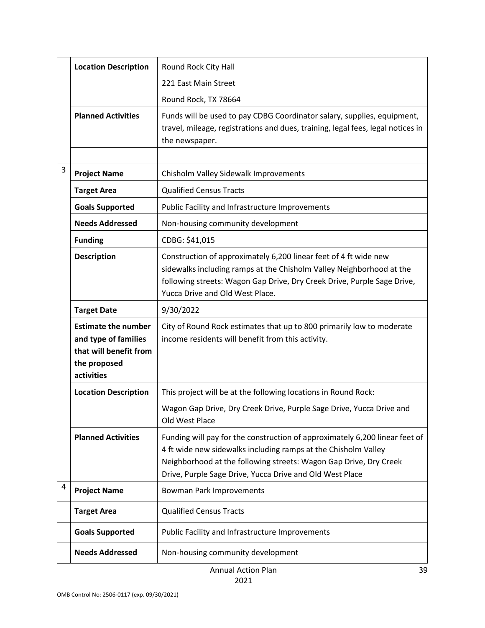|   | <b>Location Description</b>                                                                                | Round Rock City Hall                                                                                                                                                                                                                                                           |
|---|------------------------------------------------------------------------------------------------------------|--------------------------------------------------------------------------------------------------------------------------------------------------------------------------------------------------------------------------------------------------------------------------------|
|   |                                                                                                            | 221 East Main Street                                                                                                                                                                                                                                                           |
|   |                                                                                                            | Round Rock, TX 78664                                                                                                                                                                                                                                                           |
|   | <b>Planned Activities</b>                                                                                  | Funds will be used to pay CDBG Coordinator salary, supplies, equipment,<br>travel, mileage, registrations and dues, training, legal fees, legal notices in<br>the newspaper.                                                                                                   |
|   |                                                                                                            |                                                                                                                                                                                                                                                                                |
| 3 | <b>Project Name</b>                                                                                        | Chisholm Valley Sidewalk Improvements                                                                                                                                                                                                                                          |
|   | <b>Target Area</b>                                                                                         | <b>Qualified Census Tracts</b>                                                                                                                                                                                                                                                 |
|   | <b>Goals Supported</b>                                                                                     | Public Facility and Infrastructure Improvements                                                                                                                                                                                                                                |
|   | <b>Needs Addressed</b>                                                                                     | Non-housing community development                                                                                                                                                                                                                                              |
|   | <b>Funding</b>                                                                                             | CDBG: \$41,015                                                                                                                                                                                                                                                                 |
|   | <b>Description</b>                                                                                         | Construction of approximately 6,200 linear feet of 4 ft wide new<br>sidewalks including ramps at the Chisholm Valley Neighborhood at the<br>following streets: Wagon Gap Drive, Dry Creek Drive, Purple Sage Drive,<br>Yucca Drive and Old West Place.                         |
|   | <b>Target Date</b>                                                                                         | 9/30/2022                                                                                                                                                                                                                                                                      |
|   | <b>Estimate the number</b><br>and type of families<br>that will benefit from<br>the proposed<br>activities | City of Round Rock estimates that up to 800 primarily low to moderate<br>income residents will benefit from this activity.                                                                                                                                                     |
|   | <b>Location Description</b>                                                                                | This project will be at the following locations in Round Rock:                                                                                                                                                                                                                 |
|   |                                                                                                            | Wagon Gap Drive, Dry Creek Drive, Purple Sage Drive, Yucca Drive and<br>Old West Place                                                                                                                                                                                         |
|   | <b>Planned Activities</b>                                                                                  | Funding will pay for the construction of approximately 6,200 linear feet of<br>4 ft wide new sidewalks including ramps at the Chisholm Valley<br>Neighborhood at the following streets: Wagon Gap Drive, Dry Creek<br>Drive, Purple Sage Drive, Yucca Drive and Old West Place |
| 4 | <b>Project Name</b>                                                                                        | <b>Bowman Park Improvements</b>                                                                                                                                                                                                                                                |
|   | <b>Target Area</b>                                                                                         | <b>Qualified Census Tracts</b>                                                                                                                                                                                                                                                 |
|   | <b>Goals Supported</b>                                                                                     | Public Facility and Infrastructure Improvements                                                                                                                                                                                                                                |
|   | <b>Needs Addressed</b>                                                                                     | Non-housing community development                                                                                                                                                                                                                                              |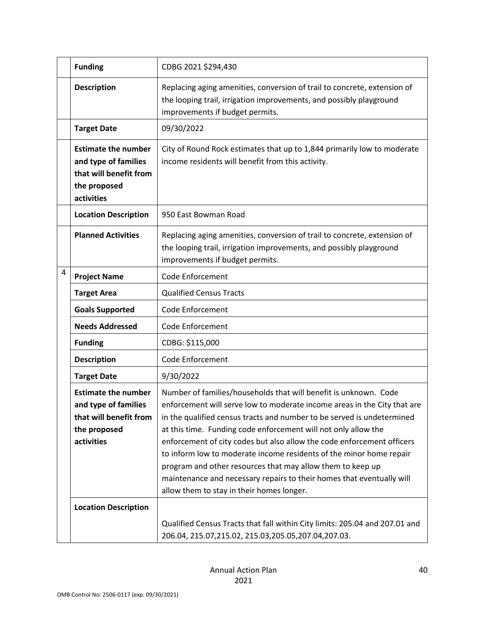|   | <b>Funding</b>                                                                                             | CDBG 2021 \$294,430                                                                                                                                                                                                                                                                                                                                                                                                                                                                                                                                                                                                           |
|---|------------------------------------------------------------------------------------------------------------|-------------------------------------------------------------------------------------------------------------------------------------------------------------------------------------------------------------------------------------------------------------------------------------------------------------------------------------------------------------------------------------------------------------------------------------------------------------------------------------------------------------------------------------------------------------------------------------------------------------------------------|
|   | <b>Description</b>                                                                                         | Replacing aging amenities, conversion of trail to concrete, extension of<br>the looping trail, irrigation improvements, and possibly playground<br>improvements if budget permits.                                                                                                                                                                                                                                                                                                                                                                                                                                            |
|   | <b>Target Date</b>                                                                                         | 09/30/2022                                                                                                                                                                                                                                                                                                                                                                                                                                                                                                                                                                                                                    |
|   | <b>Estimate the number</b><br>and type of families<br>that will benefit from<br>the proposed<br>activities | City of Round Rock estimates that up to 1,844 primarily low to moderate<br>income residents will benefit from this activity.                                                                                                                                                                                                                                                                                                                                                                                                                                                                                                  |
|   | <b>Location Description</b>                                                                                | 950 East Bowman Road                                                                                                                                                                                                                                                                                                                                                                                                                                                                                                                                                                                                          |
|   | <b>Planned Activities</b>                                                                                  | Replacing aging amenities, conversion of trail to concrete, extension of<br>the looping trail, irrigation improvements, and possibly playground<br>improvements if budget permits.                                                                                                                                                                                                                                                                                                                                                                                                                                            |
| 4 | <b>Project Name</b>                                                                                        | <b>Code Enforcement</b>                                                                                                                                                                                                                                                                                                                                                                                                                                                                                                                                                                                                       |
|   | <b>Target Area</b>                                                                                         | <b>Qualified Census Tracts</b>                                                                                                                                                                                                                                                                                                                                                                                                                                                                                                                                                                                                |
|   | <b>Goals Supported</b>                                                                                     | <b>Code Enforcement</b>                                                                                                                                                                                                                                                                                                                                                                                                                                                                                                                                                                                                       |
|   | <b>Needs Addressed</b>                                                                                     | <b>Code Enforcement</b>                                                                                                                                                                                                                                                                                                                                                                                                                                                                                                                                                                                                       |
|   | <b>Funding</b>                                                                                             | CDBG: \$115,000                                                                                                                                                                                                                                                                                                                                                                                                                                                                                                                                                                                                               |
|   | <b>Description</b>                                                                                         | Code Enforcement                                                                                                                                                                                                                                                                                                                                                                                                                                                                                                                                                                                                              |
|   | <b>Target Date</b>                                                                                         | 9/30/2022                                                                                                                                                                                                                                                                                                                                                                                                                                                                                                                                                                                                                     |
|   | <b>Estimate the number</b><br>and type of families<br>that will benefit from<br>the proposed<br>activities | Number of families/households that will benefit is unknown. Code<br>enforcement will serve low to moderate income areas in the City that are<br>in the qualified census tracts and number to be served is undetermined<br>at this time. Funding code enforcement will not only allow the<br>enforcement of city codes but also allow the code enforcement officers<br>to inform low to moderate income residents of the minor home repair<br>program and other resources that may allow them to keep up<br>maintenance and necessary repairs to their homes that eventually will<br>allow them to stay in their homes longer. |
|   | <b>Location Description</b>                                                                                | Qualified Census Tracts that fall within City limits: 205.04 and 207.01 and<br>206.04, 215.07, 215.02, 215.03, 205.05, 207.04, 207.03.                                                                                                                                                                                                                                                                                                                                                                                                                                                                                        |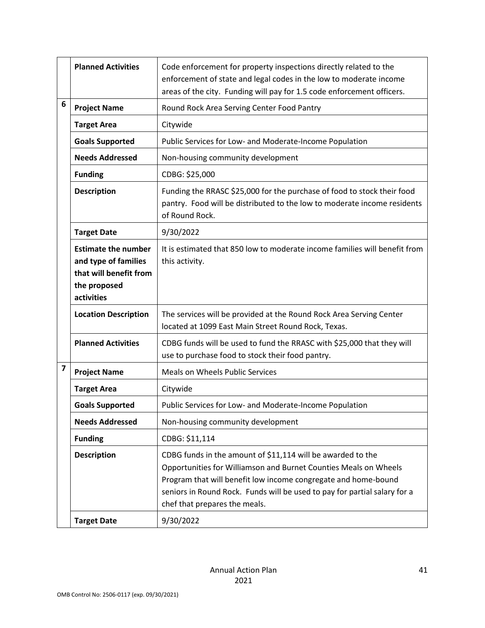|                         | <b>Planned Activities</b>                                                                                  | Code enforcement for property inspections directly related to the<br>enforcement of state and legal codes in the low to moderate income<br>areas of the city. Funding will pay for 1.5 code enforcement officers.                                                                                               |
|-------------------------|------------------------------------------------------------------------------------------------------------|-----------------------------------------------------------------------------------------------------------------------------------------------------------------------------------------------------------------------------------------------------------------------------------------------------------------|
| 6                       | <b>Project Name</b>                                                                                        | Round Rock Area Serving Center Food Pantry                                                                                                                                                                                                                                                                      |
|                         | <b>Target Area</b>                                                                                         | Citywide                                                                                                                                                                                                                                                                                                        |
|                         | <b>Goals Supported</b>                                                                                     | Public Services for Low- and Moderate-Income Population                                                                                                                                                                                                                                                         |
|                         | <b>Needs Addressed</b>                                                                                     | Non-housing community development                                                                                                                                                                                                                                                                               |
|                         | <b>Funding</b>                                                                                             | CDBG: \$25,000                                                                                                                                                                                                                                                                                                  |
|                         | <b>Description</b>                                                                                         | Funding the RRASC \$25,000 for the purchase of food to stock their food<br>pantry. Food will be distributed to the low to moderate income residents<br>of Round Rock.                                                                                                                                           |
|                         | <b>Target Date</b>                                                                                         | 9/30/2022                                                                                                                                                                                                                                                                                                       |
|                         | <b>Estimate the number</b><br>and type of families<br>that will benefit from<br>the proposed<br>activities | It is estimated that 850 low to moderate income families will benefit from<br>this activity.                                                                                                                                                                                                                    |
|                         | <b>Location Description</b>                                                                                | The services will be provided at the Round Rock Area Serving Center<br>located at 1099 East Main Street Round Rock, Texas.                                                                                                                                                                                      |
|                         | <b>Planned Activities</b>                                                                                  | CDBG funds will be used to fund the RRASC with \$25,000 that they will<br>use to purchase food to stock their food pantry.                                                                                                                                                                                      |
| $\overline{\mathbf{z}}$ | <b>Project Name</b>                                                                                        | <b>Meals on Wheels Public Services</b>                                                                                                                                                                                                                                                                          |
|                         | <b>Target Area</b>                                                                                         | Citywide                                                                                                                                                                                                                                                                                                        |
|                         | <b>Goals Supported</b>                                                                                     | Public Services for Low- and Moderate-Income Population                                                                                                                                                                                                                                                         |
|                         | <b>Needs Addressed</b>                                                                                     | Non-housing community development                                                                                                                                                                                                                                                                               |
|                         | <b>Funding</b>                                                                                             | CDBG: \$11,114                                                                                                                                                                                                                                                                                                  |
|                         | <b>Description</b>                                                                                         | CDBG funds in the amount of \$11,114 will be awarded to the<br>Opportunities for Williamson and Burnet Counties Meals on Wheels<br>Program that will benefit low income congregate and home-bound<br>seniors in Round Rock. Funds will be used to pay for partial salary for a<br>chef that prepares the meals. |
|                         | <b>Target Date</b>                                                                                         | 9/30/2022                                                                                                                                                                                                                                                                                                       |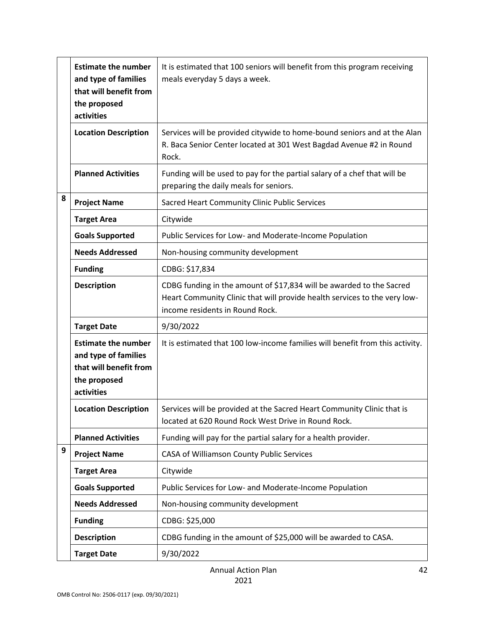|   | <b>Estimate the number</b><br>and type of families<br>that will benefit from<br>the proposed<br>activities | It is estimated that 100 seniors will benefit from this program receiving<br>meals everyday 5 days a week.                                                                           |
|---|------------------------------------------------------------------------------------------------------------|--------------------------------------------------------------------------------------------------------------------------------------------------------------------------------------|
|   | <b>Location Description</b>                                                                                | Services will be provided citywide to home-bound seniors and at the Alan<br>R. Baca Senior Center located at 301 West Bagdad Avenue #2 in Round<br>Rock.                             |
|   | <b>Planned Activities</b>                                                                                  | Funding will be used to pay for the partial salary of a chef that will be<br>preparing the daily meals for seniors.                                                                  |
| 8 | <b>Project Name</b>                                                                                        | Sacred Heart Community Clinic Public Services                                                                                                                                        |
|   | <b>Target Area</b>                                                                                         | Citywide                                                                                                                                                                             |
|   | <b>Goals Supported</b>                                                                                     | Public Services for Low- and Moderate-Income Population                                                                                                                              |
|   | <b>Needs Addressed</b>                                                                                     | Non-housing community development                                                                                                                                                    |
|   | <b>Funding</b>                                                                                             | CDBG: \$17,834                                                                                                                                                                       |
|   | <b>Description</b>                                                                                         | CDBG funding in the amount of \$17,834 will be awarded to the Sacred<br>Heart Community Clinic that will provide health services to the very low-<br>income residents in Round Rock. |
|   | <b>Target Date</b>                                                                                         | 9/30/2022                                                                                                                                                                            |
|   | <b>Estimate the number</b><br>and type of families<br>that will benefit from<br>the proposed<br>activities | It is estimated that 100 low-income families will benefit from this activity.                                                                                                        |
|   | <b>Location Description</b>                                                                                | Services will be provided at the Sacred Heart Community Clinic that is<br>located at 620 Round Rock West Drive in Round Rock.                                                        |
|   | <b>Planned Activities</b>                                                                                  | Funding will pay for the partial salary for a health provider.                                                                                                                       |
| 9 | <b>Project Name</b>                                                                                        | CASA of Williamson County Public Services                                                                                                                                            |
|   | <b>Target Area</b>                                                                                         | Citywide                                                                                                                                                                             |
|   | <b>Goals Supported</b>                                                                                     | Public Services for Low- and Moderate-Income Population                                                                                                                              |
|   | <b>Needs Addressed</b>                                                                                     | Non-housing community development                                                                                                                                                    |
|   | <b>Funding</b>                                                                                             | CDBG: \$25,000                                                                                                                                                                       |
|   | <b>Description</b>                                                                                         | CDBG funding in the amount of \$25,000 will be awarded to CASA.                                                                                                                      |
|   | <b>Target Date</b>                                                                                         | 9/30/2022                                                                                                                                                                            |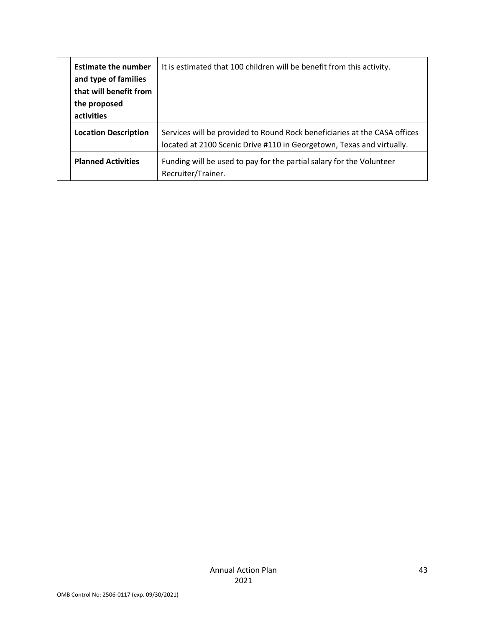|  | <b>Estimate the number</b><br>and type of families<br>that will benefit from<br>the proposed<br>activities | It is estimated that 100 children will be benefit from this activity.                                                                              |
|--|------------------------------------------------------------------------------------------------------------|----------------------------------------------------------------------------------------------------------------------------------------------------|
|  | <b>Location Description</b>                                                                                | Services will be provided to Round Rock beneficiaries at the CASA offices<br>located at 2100 Scenic Drive #110 in Georgetown, Texas and virtually. |
|  | <b>Planned Activities</b>                                                                                  | Funding will be used to pay for the partial salary for the Volunteer<br>Recruiter/Trainer.                                                         |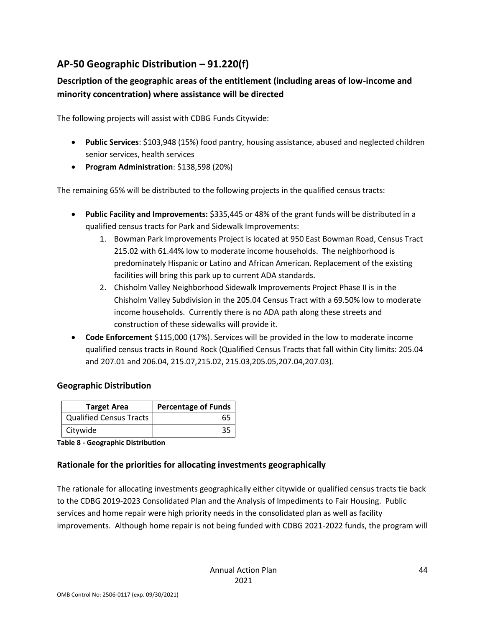# **AP-50 Geographic Distribution – 91.220(f)**

# **Description of the geographic areas of the entitlement (including areas of low-income and minority concentration) where assistance will be directed**

The following projects will assist with CDBG Funds Citywide:

- **Public Services**: \$103,948 (15%) food pantry, housing assistance, abused and neglected children senior services, health services
- **Program Administration**: \$138,598 (20%)

The remaining 65% will be distributed to the following projects in the qualified census tracts:

- **Public Facility and Improvements:** \$335,445 or 48% of the grant funds will be distributed in a qualified census tracts for Park and Sidewalk Improvements:
	- 1. Bowman Park Improvements Project is located at 950 East Bowman Road, Census Tract 215.02 with 61.44% low to moderate income households. The neighborhood is predominately Hispanic or Latino and African American. Replacement of the existing facilities will bring this park up to current ADA standards.
	- 2. Chisholm Valley Neighborhood Sidewalk Improvements Project Phase II is in the Chisholm Valley Subdivision in the 205.04 Census Tract with a 69.50% low to moderate income households. Currently there is no ADA path along these streets and construction of these sidewalks will provide it.
- **Code Enforcement** \$115,000 (17%). Services will be provided in the low to moderate income qualified census tracts in Round Rock (Qualified Census Tracts that fall within City limits: 205.04 and 207.01 and 206.04, 215.07,215.02, 215.03,205.05,207.04,207.03).

### **Geographic Distribution**

| <b>Target Area</b>             | <b>Percentage of Funds</b> |
|--------------------------------|----------------------------|
| <b>Qualified Census Tracts</b> | 65                         |
| Citywide                       |                            |

**Table 8 - Geographic Distribution** 

### **Rationale for the priorities for allocating investments geographically**

The rationale for allocating investments geographically either citywide or qualified census tracts tie back to the CDBG 2019-2023 Consolidated Plan and the Analysis of Impediments to Fair Housing. Public services and home repair were high priority needs in the consolidated plan as well as facility improvements. Although home repair is not being funded with CDBG 2021-2022 funds, the program will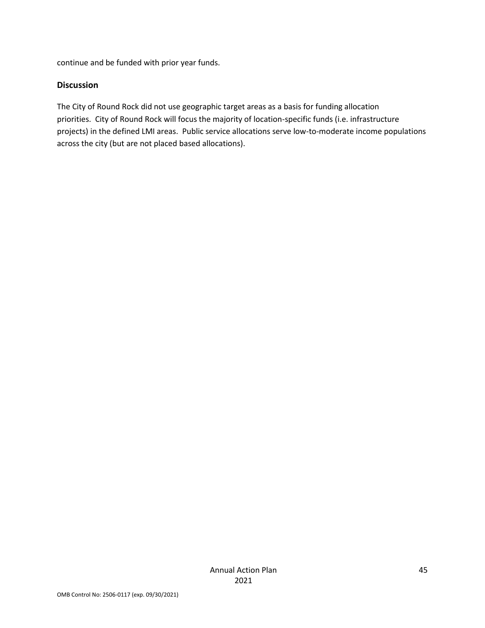continue and be funded with prior year funds.

#### **Discussion**

The City of Round Rock did not use geographic target areas as a basis for funding allocation priorities. City of Round Rock will focus the majority of location-specific funds (i.e. infrastructure projects) in the defined LMI areas. Public service allocations serve low-to-moderate income populations across the city (but are not placed based allocations).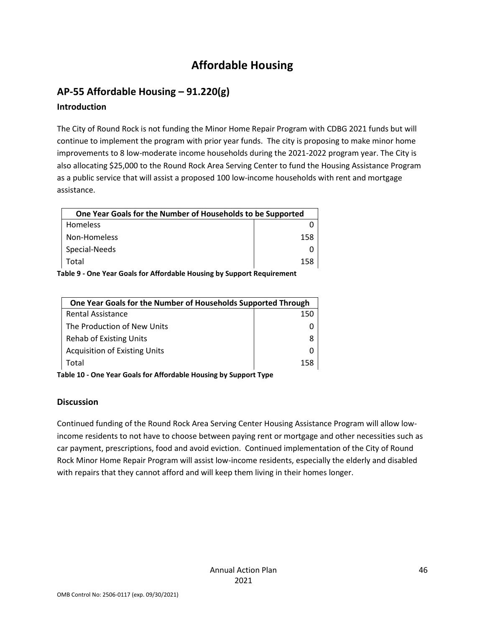# **Affordable Housing**

# **AP-55 Affordable Housing – 91.220(g)**

# **Introduction**

The City of Round Rock is not funding the Minor Home Repair Program with CDBG 2021 funds but will continue to implement the program with prior year funds. The city is proposing to make minor home improvements to 8 low-moderate income households during the 2021-2022 program year. The City is also allocating \$25,000 to the Round Rock Area Serving Center to fund the Housing Assistance Program as a public service that will assist a proposed 100 low-income households with rent and mortgage assistance.

| One Year Goals for the Number of Households to be Supported |     |
|-------------------------------------------------------------|-----|
| <b>Homeless</b>                                             |     |
| Non-Homeless                                                | 158 |
| Special-Needs                                               |     |
| Total                                                       | 158 |

**Table 9 - One Year Goals for Affordable Housing by Support Requirement**

| One Year Goals for the Number of Households Supported Through |     |
|---------------------------------------------------------------|-----|
| <b>Rental Assistance</b>                                      | 150 |
| The Production of New Units                                   |     |
| <b>Rehab of Existing Units</b>                                |     |
| <b>Acquisition of Existing Units</b>                          |     |
| Total                                                         |     |

**Table 10 - One Year Goals for Affordable Housing by Support Type**

# **Discussion**

Continued funding of the Round Rock Area Serving Center Housing Assistance Program will allow lowincome residents to not have to choose between paying rent or mortgage and other necessities such as car payment, prescriptions, food and avoid eviction. Continued implementation of the City of Round Rock Minor Home Repair Program will assist low-income residents, especially the elderly and disabled with repairs that they cannot afford and will keep them living in their homes longer.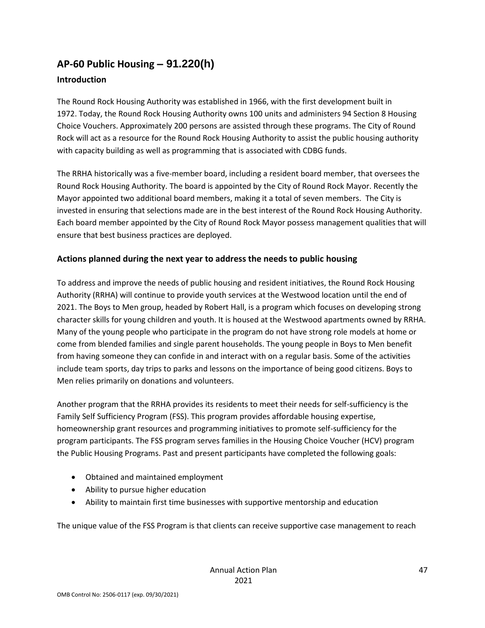# **AP-60 Public Housing** *–* **91.220(h)**

## **Introduction**

The Round Rock Housing Authority was established in 1966, with the first development built in 1972. Today, the Round Rock Housing Authority owns 100 units and administers 94 Section 8 Housing Choice Vouchers. Approximately 200 persons are assisted through these programs. The City of Round Rock will act as a resource for the Round Rock Housing Authority to assist the public housing authority with capacity building as well as programming that is associated with CDBG funds.

The RRHA historically was a five-member board, including a resident board member, that oversees the Round Rock Housing Authority. The board is appointed by the City of Round Rock Mayor. Recently the Mayor appointed two additional board members, making it a total of seven members. The City is invested in ensuring that selections made are in the best interest of the Round Rock Housing Authority. Each board member appointed by the City of Round Rock Mayor possess management qualities that will ensure that best business practices are deployed.

# **Actions planned during the next year to address the needs to public housing**

To address and improve the needs of public housing and resident initiatives, the Round Rock Housing Authority (RRHA) will continue to provide youth services at the Westwood location until the end of 2021. The Boys to Men group, headed by Robert Hall, is a program which focuses on developing strong character skills for young children and youth. It is housed at the Westwood apartments owned by RRHA. Many of the young people who participate in the program do not have strong role models at home or come from blended families and single parent households. The young people in Boys to Men benefit from having someone they can confide in and interact with on a regular basis. Some of the activities include team sports, day trips to parks and lessons on the importance of being good citizens. Boys to Men relies primarily on donations and volunteers.

Another program that the RRHA provides its residents to meet their needs for self-sufficiency is the Family Self Sufficiency Program (FSS). This program provides affordable housing expertise, homeownership grant resources and programming initiatives to promote self-sufficiency for the program participants. The FSS program serves families in the Housing Choice Voucher (HCV) program the Public Housing Programs. Past and present participants have completed the following goals:

- Obtained and maintained employment
- Ability to pursue higher education
- Ability to maintain first time businesses with supportive mentorship and education

The unique value of the FSS Program is that clients can receive supportive case management to reach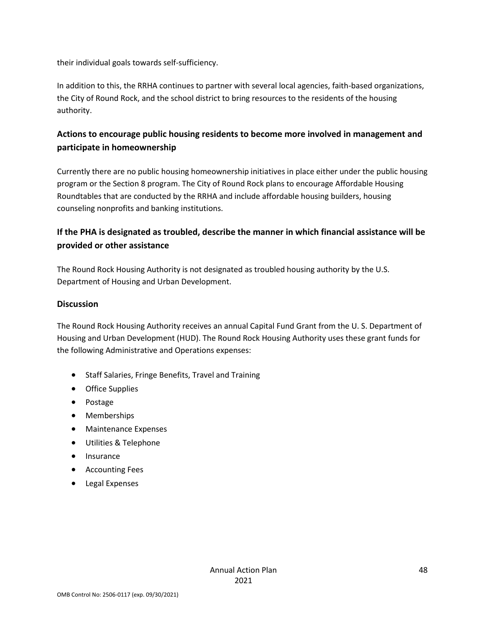their individual goals towards self-sufficiency.

In addition to this, the RRHA continues to partner with several local agencies, faith-based organizations, the City of Round Rock, and the school district to bring resources to the residents of the housing authority.

# **Actions to encourage public housing residents to become more involved in management and participate in homeownership**

Currently there are no public housing homeownership initiatives in place either under the public housing program or the Section 8 program. The City of Round Rock plans to encourage Affordable Housing Roundtables that are conducted by the RRHA and include affordable housing builders, housing counseling nonprofits and banking institutions.

# **If the PHA is designated as troubled, describe the manner in which financial assistance will be provided or other assistance**

The Round Rock Housing Authority is not designated as troubled housing authority by the U.S. Department of Housing and Urban Development.

#### **Discussion**

The Round Rock Housing Authority receives an annual Capital Fund Grant from the U. S. Department of Housing and Urban Development (HUD). The Round Rock Housing Authority uses these grant funds for the following Administrative and Operations expenses:

- Staff Salaries, Fringe Benefits, Travel and Training
- Office Supplies
- Postage
- Memberships
- Maintenance Expenses
- Utilities & Telephone
- Insurance
- Accounting Fees
- Legal Expenses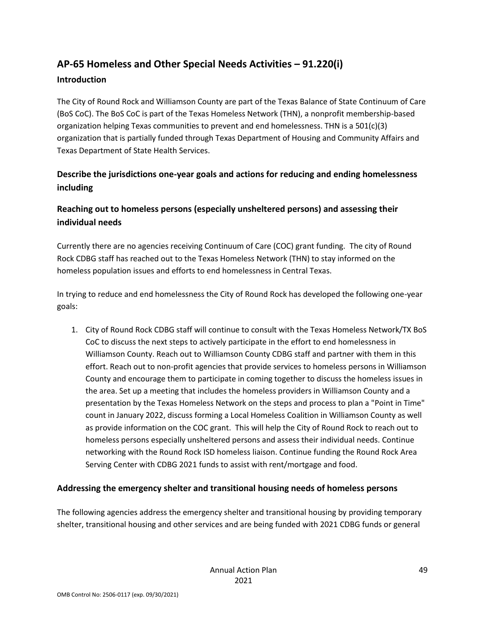# **AP-65 Homeless and Other Special Needs Activities – 91.220(i)**

### **Introduction**

The City of Round Rock and Williamson County are part of the Texas Balance of State Continuum of Care (BoS CoC). The BoS CoC is part of the Texas Homeless Network (THN), a nonprofit membership-based organization helping Texas communities to prevent and end homelessness. THN is a 501(c)(3) organization that is partially funded through Texas Department of Housing and Community Affairs and Texas Department of State Health Services.

# **Describe the jurisdictions one-year goals and actions for reducing and ending homelessness including**

# **Reaching out to homeless persons (especially unsheltered persons) and assessing their individual needs**

Currently there are no agencies receiving Continuum of Care (COC) grant funding. The city of Round Rock CDBG staff has reached out to the Texas Homeless Network (THN) to stay informed on the homeless population issues and efforts to end homelessness in Central Texas.

In trying to reduce and end homelessness the City of Round Rock has developed the following one-year goals:

1. City of Round Rock CDBG staff will continue to consult with the Texas Homeless Network/TX BoS CoC to discuss the next steps to actively participate in the effort to end homelessness in Williamson County. Reach out to Williamson County CDBG staff and partner with them in this effort. Reach out to non-profit agencies that provide services to homeless persons in Williamson County and encourage them to participate in coming together to discuss the homeless issues in the area. Set up a meeting that includes the homeless providers in Williamson County and a presentation by the Texas Homeless Network on the steps and process to plan a "Point in Time" count in January 2022, discuss forming a Local Homeless Coalition in Williamson County as well as provide information on the COC grant. This will help the City of Round Rock to reach out to homeless persons especially unsheltered persons and assess their individual needs. Continue networking with the Round Rock ISD homeless liaison. Continue funding the Round Rock Area Serving Center with CDBG 2021 funds to assist with rent/mortgage and food.

### **Addressing the emergency shelter and transitional housing needs of homeless persons**

The following agencies address the emergency shelter and transitional housing by providing temporary shelter, transitional housing and other services and are being funded with 2021 CDBG funds or general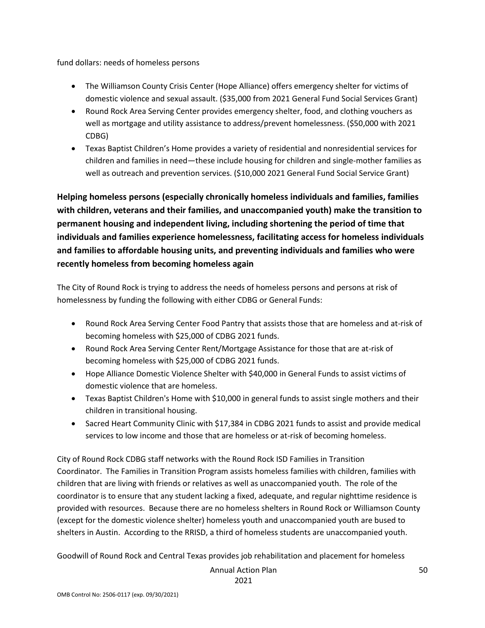fund dollars: needs of homeless persons

- The Williamson County Crisis Center (Hope Alliance) offers emergency shelter for victims of domestic violence and sexual assault. (\$35,000 from 2021 General Fund Social Services Grant)
- Round Rock Area Serving Center provides emergency shelter, food, and clothing vouchers as well as mortgage and utility assistance to address/prevent homelessness. (\$50,000 with 2021 CDBG)
- Texas Baptist Children's Home provides a variety of residential and nonresidential services for children and families in need—these include housing for children and single-mother families as well as outreach and prevention services. (\$10,000 2021 General Fund Social Service Grant)

**Helping homeless persons (especially chronically homeless individuals and families, families with children, veterans and their families, and unaccompanied youth) make the transition to permanent housing and independent living, including shortening the period of time that individuals and families experience homelessness, facilitating access for homeless individuals and families to affordable housing units, and preventing individuals and families who were recently homeless from becoming homeless again**

The City of Round Rock is trying to address the needs of homeless persons and persons at risk of homelessness by funding the following with either CDBG or General Funds:

- Round Rock Area Serving Center Food Pantry that assists those that are homeless and at-risk of becoming homeless with \$25,000 of CDBG 2021 funds.
- Round Rock Area Serving Center Rent/Mortgage Assistance for those that are at-risk of becoming homeless with \$25,000 of CDBG 2021 funds.
- Hope Alliance Domestic Violence Shelter with \$40,000 in General Funds to assist victims of domestic violence that are homeless.
- Texas Baptist Children's Home with \$10,000 in general funds to assist single mothers and their children in transitional housing.
- Sacred Heart Community Clinic with \$17,384 in CDBG 2021 funds to assist and provide medical services to low income and those that are homeless or at-risk of becoming homeless.

City of Round Rock CDBG staff networks with the Round Rock ISD Families in Transition Coordinator. The Families in Transition Program assists homeless families with children, families with children that are living with friends or relatives as well as unaccompanied youth. The role of the coordinator is to ensure that any student lacking a fixed, adequate, and regular nighttime residence is provided with resources. Because there are no homeless shelters in Round Rock or Williamson County (except for the domestic violence shelter) homeless youth and unaccompanied youth are bused to shelters in Austin. According to the RRISD, a third of homeless students are unaccompanied youth.

Goodwill of Round Rock and Central Texas provides job rehabilitation and placement for homeless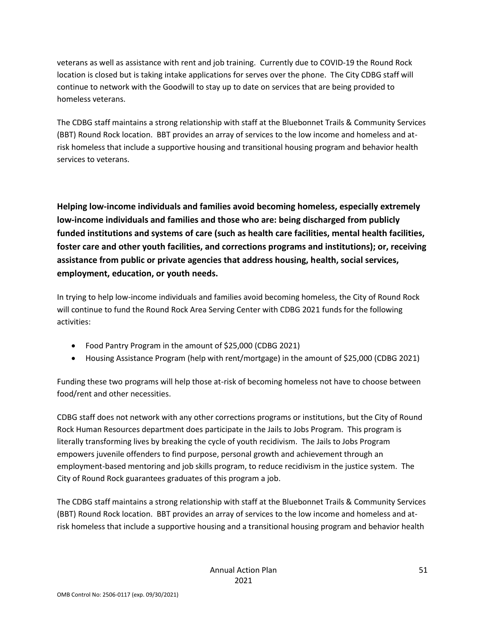veterans as well as assistance with rent and job training. Currently due to COVID-19 the Round Rock location is closed but is taking intake applications for serves over the phone. The City CDBG staff will continue to network with the Goodwill to stay up to date on services that are being provided to homeless veterans.

The CDBG staff maintains a strong relationship with staff at the Bluebonnet Trails & Community Services (BBT) Round Rock location. BBT provides an array of services to the low income and homeless and atrisk homeless that include a supportive housing and transitional housing program and behavior health services to veterans.

**Helping low-income individuals and families avoid becoming homeless, especially extremely low-income individuals and families and those who are: being discharged from publicly funded institutions and systems of care (such as health care facilities, mental health facilities, foster care and other youth facilities, and corrections programs and institutions); or, receiving assistance from public or private agencies that address housing, health, social services, employment, education, or youth needs.**

In trying to help low-income individuals and families avoid becoming homeless, the City of Round Rock will continue to fund the Round Rock Area Serving Center with CDBG 2021 funds for the following activities:

- Food Pantry Program in the amount of \$25,000 (CDBG 2021)
- Housing Assistance Program (help with rent/mortgage) in the amount of \$25,000 (CDBG 2021)

Funding these two programs will help those at-risk of becoming homeless not have to choose between food/rent and other necessities.

CDBG staff does not network with any other corrections programs or institutions, but the City of Round Rock Human Resources department does participate in the Jails to Jobs Program. This program is literally transforming lives by breaking the cycle of youth recidivism. The Jails to Jobs Program empowers juvenile offenders to find purpose, personal growth and achievement through an employment-based mentoring and job skills program, to reduce recidivism in the justice system. The City of Round Rock guarantees graduates of this program a job.

The CDBG staff maintains a strong relationship with staff at the Bluebonnet Trails & Community Services (BBT) Round Rock location. BBT provides an array of services to the low income and homeless and atrisk homeless that include a supportive housing and a transitional housing program and behavior health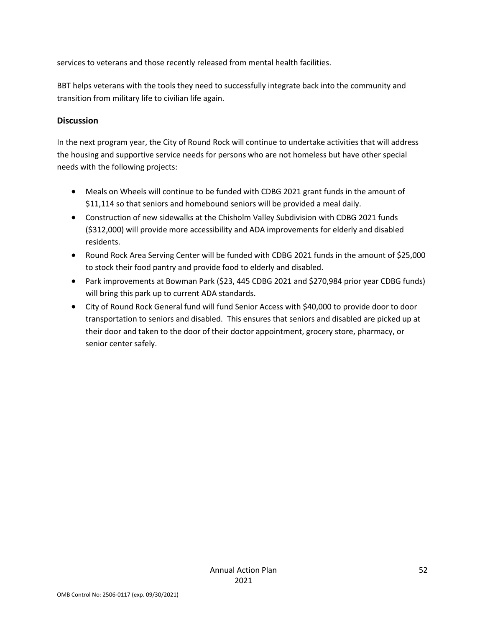services to veterans and those recently released from mental health facilities.

BBT helps veterans with the tools they need to successfully integrate back into the community and transition from military life to civilian life again.

#### **Discussion**

In the next program year, the City of Round Rock will continue to undertake activities that will address the housing and supportive service needs for persons who are not homeless but have other special needs with the following projects:

- Meals on Wheels will continue to be funded with CDBG 2021 grant funds in the amount of \$11,114 so that seniors and homebound seniors will be provided a meal daily.
- Construction of new sidewalks at the Chisholm Valley Subdivision with CDBG 2021 funds (\$312,000) will provide more accessibility and ADA improvements for elderly and disabled residents.
- Round Rock Area Serving Center will be funded with CDBG 2021 funds in the amount of \$25,000 to stock their food pantry and provide food to elderly and disabled.
- Park improvements at Bowman Park (\$23, 445 CDBG 2021 and \$270,984 prior year CDBG funds) will bring this park up to current ADA standards.
- City of Round Rock General fund will fund Senior Access with \$40,000 to provide door to door transportation to seniors and disabled. This ensures that seniors and disabled are picked up at their door and taken to the door of their doctor appointment, grocery store, pharmacy, or senior center safely.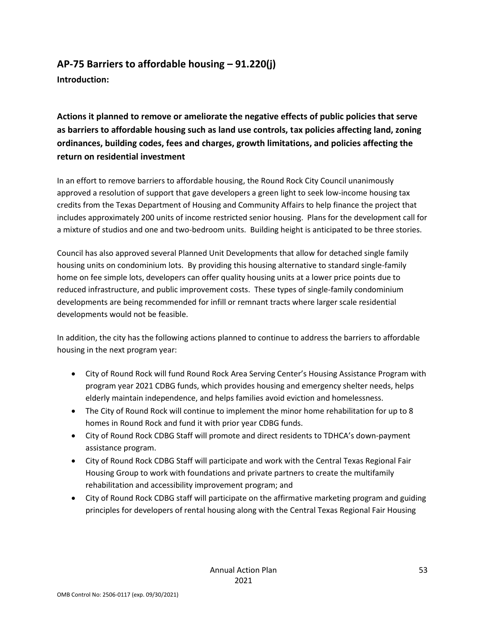# **AP-75 Barriers to affordable housing – 91.220(j)**

**Introduction:** 

**Actions it planned to remove or ameliorate the negative effects of public policies that serve as barriers to affordable housing such as land use controls, tax policies affecting land, zoning ordinances, building codes, fees and charges, growth limitations, and policies affecting the return on residential investment**

In an effort to remove barriers to affordable housing, the Round Rock City Council unanimously approved a resolution of support that gave developers a green light to seek low-income housing tax credits from the Texas Department of Housing and Community Affairs to help finance the project that includes approximately 200 units of income restricted senior housing. Plans for the development call for a mixture of studios and one and two-bedroom units. Building height is anticipated to be three stories.

Council has also approved several Planned Unit Developments that allow for detached single family housing units on condominium lots. By providing this housing alternative to standard single-family home on fee simple lots, developers can offer quality housing units at a lower price points due to reduced infrastructure, and public improvement costs. These types of single-family condominium developments are being recommended for infill or remnant tracts where larger scale residential developments would not be feasible.

In addition, the city has the following actions planned to continue to address the barriers to affordable housing in the next program year:

- City of Round Rock will fund Round Rock Area Serving Center's Housing Assistance Program with program year 2021 CDBG funds, which provides housing and emergency shelter needs, helps elderly maintain independence, and helps families avoid eviction and homelessness.
- The City of Round Rock will continue to implement the minor home rehabilitation for up to 8 homes in Round Rock and fund it with prior year CDBG funds.
- City of Round Rock CDBG Staff will promote and direct residents to TDHCA's down-payment assistance program.
- City of Round Rock CDBG Staff will participate and work with the Central Texas Regional Fair Housing Group to work with foundations and private partners to create the multifamily rehabilitation and accessibility improvement program; and
- City of Round Rock CDBG staff will participate on the affirmative marketing program and guiding principles for developers of rental housing along with the Central Texas Regional Fair Housing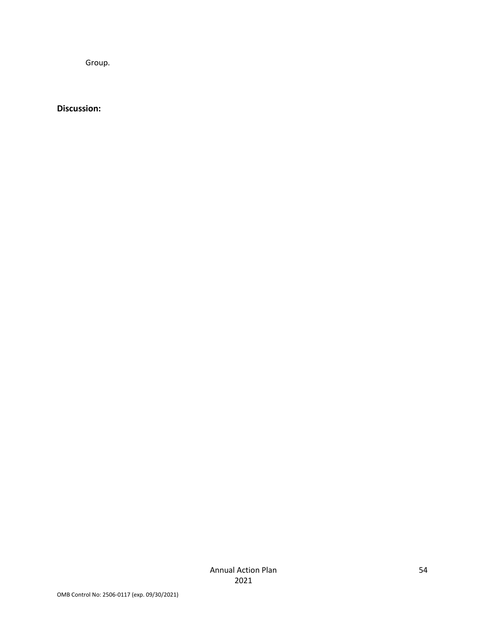Group.

**Discussion:**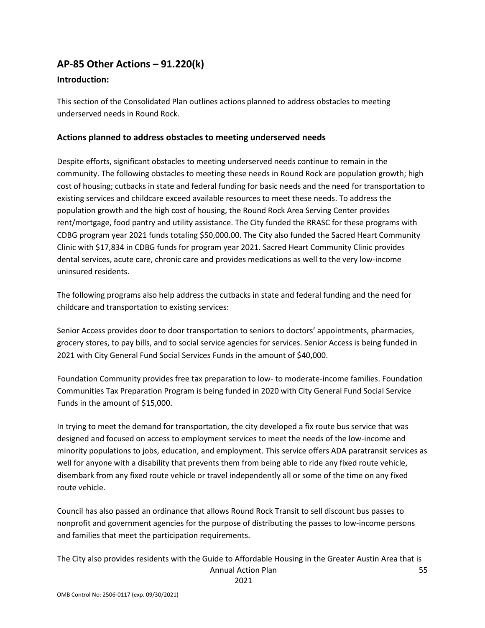# **AP-85 Other Actions – 91.220(k)**

#### **Introduction:**

This section of the Consolidated Plan outlines actions planned to address obstacles to meeting underserved needs in Round Rock.

#### **Actions planned to address obstacles to meeting underserved needs**

Despite efforts, significant obstacles to meeting underserved needs continue to remain in the community. The following obstacles to meeting these needs in Round Rock are population growth; high cost of housing; cutbacks in state and federal funding for basic needs and the need for transportation to existing services and childcare exceed available resources to meet these needs. To address the population growth and the high cost of housing, the Round Rock Area Serving Center provides rent/mortgage, food pantry and utility assistance. The City funded the RRASC for these programs with CDBG program year 2021 funds totaling \$50,000.00. The City also funded the Sacred Heart Community Clinic with \$17,834 in CDBG funds for program year 2021. Sacred Heart Community Clinic provides dental services, acute care, chronic care and provides medications as well to the very low-income uninsured residents.

The following programs also help address the cutbacks in state and federal funding and the need for childcare and transportation to existing services:

Senior Access provides door to door transportation to seniors to doctors' appointments, pharmacies, grocery stores, to pay bills, and to social service agencies for services. Senior Access is being funded in 2021 with City General Fund Social Services Funds in the amount of \$40,000.

Foundation Community provides free tax preparation to low- to moderate-income families. Foundation Communities Tax Preparation Program is being funded in 2020 with City General Fund Social Service Funds in the amount of \$15,000.

In trying to meet the demand for transportation, the city developed a fix route bus service that was designed and focused on access to employment services to meet the needs of the low-income and minority populations to jobs, education, and employment. This service offers ADA paratransit services as well for anyone with a disability that prevents them from being able to ride any fixed route vehicle, disembark from any fixed route vehicle or travel independently all or some of the time on any fixed route vehicle.

Council has also passed an ordinance that allows Round Rock Transit to sell discount bus passes to nonprofit and government agencies for the purpose of distributing the passes to low-income persons and families that meet the participation requirements.

Annual Action Plan The City also provides residents with the Guide to Affordable Housing in the Greater Austin Area that is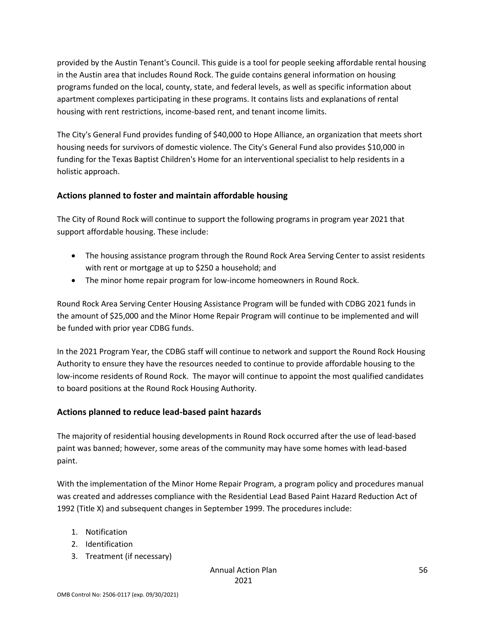provided by the Austin Tenant's Council. This guide is a tool for people seeking affordable rental housing in the Austin area that includes Round Rock. The guide contains general information on housing programs funded on the local, county, state, and federal levels, as well as specific information about apartment complexes participating in these programs. It contains lists and explanations of rental housing with rent restrictions, income-based rent, and tenant income limits.

The City's General Fund provides funding of \$40,000 to Hope Alliance, an organization that meets short housing needs for survivors of domestic violence. The City's General Fund also provides \$10,000 in funding for the Texas Baptist Children's Home for an interventional specialist to help residents in a holistic approach.

### **Actions planned to foster and maintain affordable housing**

The City of Round Rock will continue to support the following programs in program year 2021 that support affordable housing. These include:

- The housing assistance program through the Round Rock Area Serving Center to assist residents with rent or mortgage at up to \$250 a household; and
- The minor home repair program for low-income homeowners in Round Rock.

Round Rock Area Serving Center Housing Assistance Program will be funded with CDBG 2021 funds in the amount of \$25,000 and the Minor Home Repair Program will continue to be implemented and will be funded with prior year CDBG funds.

In the 2021 Program Year, the CDBG staff will continue to network and support the Round Rock Housing Authority to ensure they have the resources needed to continue to provide affordable housing to the low-income residents of Round Rock. The mayor will continue to appoint the most qualified candidates to board positions at the Round Rock Housing Authority.

### **Actions planned to reduce lead-based paint hazards**

The majority of residential housing developments in Round Rock occurred after the use of lead-based paint was banned; however, some areas of the community may have some homes with lead-based paint.

With the implementation of the Minor Home Repair Program, a program policy and procedures manual was created and addresses compliance with the Residential Lead Based Paint Hazard Reduction Act of 1992 (Title X) and subsequent changes in September 1999. The procedures include:

- 1. Notification
- 2. Identification
- 3. Treatment (if necessary)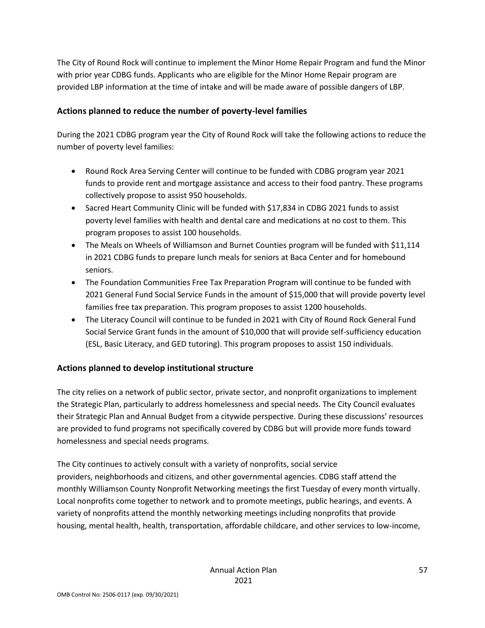The City of Round Rock will continue to implement the Minor Home Repair Program and fund the Minor with prior year CDBG funds. Applicants who are eligible for the Minor Home Repair program are provided LBP information at the time of intake and will be made aware of possible dangers of LBP.

### **Actions planned to reduce the number of poverty-level families**

During the 2021 CDBG program year the City of Round Rock will take the following actions to reduce the number of poverty level families:

- Round Rock Area Serving Center will continue to be funded with CDBG program year 2021 funds to provide rent and mortgage assistance and access to their food pantry. These programs collectively propose to assist 950 households.
- Sacred Heart Community Clinic will be funded with \$17,834 in CDBG 2021 funds to assist poverty level families with health and dental care and medications at no cost to them. This program proposes to assist 100 households.
- The Meals on Wheels of Williamson and Burnet Counties program will be funded with \$11,114 in 2021 CDBG funds to prepare lunch meals for seniors at Baca Center and for homebound seniors.
- The Foundation Communities Free Tax Preparation Program will continue to be funded with 2021 General Fund Social Service Funds in the amount of \$15,000 that will provide poverty level families free tax preparation. This program proposes to assist 1200 households.
- The Literacy Council will continue to be funded in 2021 with City of Round Rock General Fund Social Service Grant funds in the amount of \$10,000 that will provide self-sufficiency education (ESL, Basic Literacy, and GED tutoring). This program proposes to assist 150 individuals.

### **Actions planned to develop institutional structure**

The city relies on a network of public sector, private sector, and nonprofit organizations to implement the Strategic Plan, particularly to address homelessness and special needs. The City Council evaluates their Strategic Plan and Annual Budget from a citywide perspective. During these discussions' resources are provided to fund programs not specifically covered by CDBG but will provide more funds toward homelessness and special needs programs.

The City continues to actively consult with a variety of nonprofits, social service providers, neighborhoods and citizens, and other governmental agencies. CDBG staff attend the monthly Williamson County Nonprofit Networking meetings the first Tuesday of every month virtually. Local nonprofits come together to network and to promote meetings, public hearings, and events. A variety of nonprofits attend the monthly networking meetings including nonprofits that provide housing, mental health, health, transportation, affordable childcare, and other services to low-income,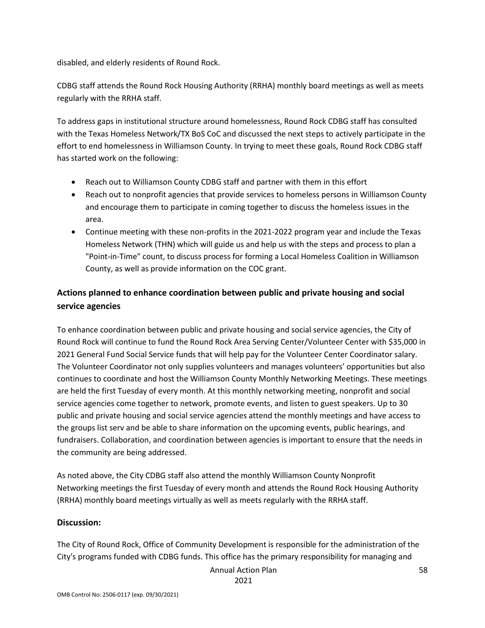disabled, and elderly residents of Round Rock.

CDBG staff attends the Round Rock Housing Authority (RRHA) monthly board meetings as well as meets regularly with the RRHA staff.

To address gaps in institutional structure around homelessness, Round Rock CDBG staff has consulted with the Texas Homeless Network/TX BoS CoC and discussed the next steps to actively participate in the effort to end homelessness in Williamson County. In trying to meet these goals, Round Rock CDBG staff has started work on the following:

- Reach out to Williamson County CDBG staff and partner with them in this effort
- Reach out to nonprofit agencies that provide services to homeless persons in Williamson County and encourage them to participate in coming together to discuss the homeless issues in the area.
- Continue meeting with these non-profits in the 2021-2022 program year and include the Texas Homeless Network (THN) which will guide us and help us with the steps and process to plan a "Point-in-Time" count, to discuss process for forming a Local Homeless Coalition in Williamson County, as well as provide information on the COC grant.

# **Actions planned to enhance coordination between public and private housing and social service agencies**

To enhance coordination between public and private housing and social service agencies, the City of Round Rock will continue to fund the Round Rock Area Serving Center/Volunteer Center with \$35,000 in 2021 General Fund Social Service funds that will help pay for the Volunteer Center Coordinator salary. The Volunteer Coordinator not only supplies volunteers and manages volunteers' opportunities but also continues to coordinate and host the Williamson County Monthly Networking Meetings. These meetings are held the first Tuesday of every month. At this monthly networking meeting, nonprofit and social service agencies come together to network, promote events, and listen to guest speakers. Up to 30 public and private housing and social service agencies attend the monthly meetings and have access to the groups list serv and be able to share information on the upcoming events, public hearings, and fundraisers. Collaboration, and coordination between agencies is important to ensure that the needs in the community are being addressed.

As noted above, the City CDBG staff also attend the monthly Williamson County Nonprofit Networking meetings the first Tuesday of every month and attends the Round Rock Housing Authority (RRHA) monthly board meetings virtually as well as meets regularly with the RRHA staff.

#### **Discussion:**

The City of Round Rock, Office of Community Development is responsible for the administration of the City's programs funded with CDBG funds. This office has the primary responsibility for managing and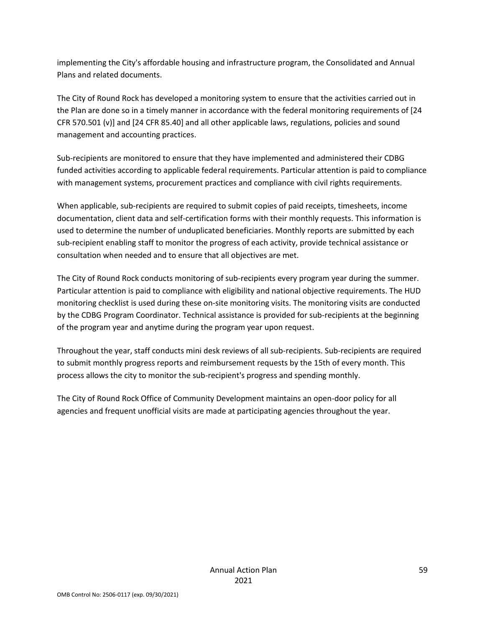implementing the City's affordable housing and infrastructure program, the Consolidated and Annual Plans and related documents.

The City of Round Rock has developed a monitoring system to ensure that the activities carried out in the Plan are done so in a timely manner in accordance with the federal monitoring requirements of [24 CFR 570.501 (v)] and [24 CFR 85.40] and all other applicable laws, regulations, policies and sound management and accounting practices.

Sub-recipients are monitored to ensure that they have implemented and administered their CDBG funded activities according to applicable federal requirements. Particular attention is paid to compliance with management systems, procurement practices and compliance with civil rights requirements.

When applicable, sub-recipients are required to submit copies of paid receipts, timesheets, income documentation, client data and self-certification forms with their monthly requests. This information is used to determine the number of unduplicated beneficiaries. Monthly reports are submitted by each sub-recipient enabling staff to monitor the progress of each activity, provide technical assistance or consultation when needed and to ensure that all objectives are met.

The City of Round Rock conducts monitoring of sub-recipients every program year during the summer. Particular attention is paid to compliance with eligibility and national objective requirements. The HUD monitoring checklist is used during these on-site monitoring visits. The monitoring visits are conducted by the CDBG Program Coordinator. Technical assistance is provided for sub-recipients at the beginning of the program year and anytime during the program year upon request.

Throughout the year, staff conducts mini desk reviews of all sub-recipients. Sub-recipients are required to submit monthly progress reports and reimbursement requests by the 15th of every month. This process allows the city to monitor the sub-recipient's progress and spending monthly.

The City of Round Rock Office of Community Development maintains an open-door policy for all agencies and frequent unofficial visits are made at participating agencies throughout the year.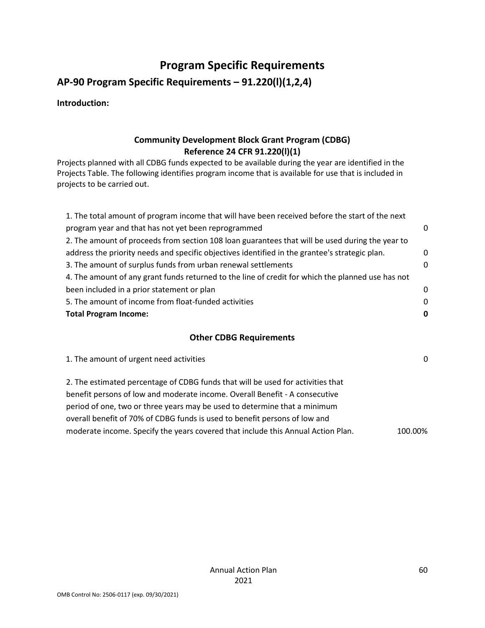# **Program Specific Requirements**

**AP-90 Program Specific Requirements – 91.220(l)(1,2,4)**

**Introduction:** 

# **Community Development Block Grant Program (CDBG) Reference 24 CFR 91.220(l)(1)**

Projects planned with all CDBG funds expected to be available during the year are identified in the Projects Table. The following identifies program income that is available for use that is included in projects to be carried out.

| 1. The total amount of program income that will have been received before the start of the next   |   |
|---------------------------------------------------------------------------------------------------|---|
| program year and that has not yet been reprogrammed                                               | 0 |
| 2. The amount of proceeds from section 108 loan guarantees that will be used during the year to   |   |
| address the priority needs and specific objectives identified in the grantee's strategic plan.    | 0 |
| 3. The amount of surplus funds from urban renewal settlements                                     | 0 |
| 4. The amount of any grant funds returned to the line of credit for which the planned use has not |   |
| been included in a prior statement or plan                                                        | 0 |
| 5. The amount of income from float-funded activities                                              | 0 |
| <b>Total Program Income:</b>                                                                      |   |
|                                                                                                   |   |

### **Other CDBG Requirements**

| 1. The amount of urgent need activities                                          | 0       |
|----------------------------------------------------------------------------------|---------|
| 2. The estimated percentage of CDBG funds that will be used for activities that  |         |
| benefit persons of low and moderate income. Overall Benefit - A consecutive      |         |
| period of one, two or three years may be used to determine that a minimum        |         |
| overall benefit of 70% of CDBG funds is used to benefit persons of low and       |         |
| moderate income. Specify the years covered that include this Annual Action Plan. | 100.00% |
|                                                                                  |         |